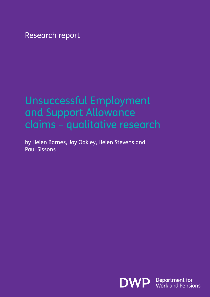Research report

# Unsuccessful Employment and Support Allowance claims – qualitative research

by Helen Barnes, Joy Oakley, Helen Stevens and Paul Sissons

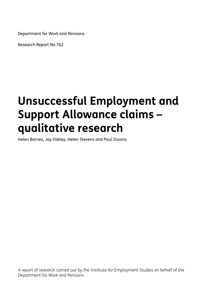Department for Work and Pensions

Research Report No 762

# **Unsuccessful Employment and Support Allowance claims – qualitative research**

Helen Barnes, Joy Oakley, Helen Stevens and Paul Sissons

A report of research carried out by the Institute for Employment Studies on behalf of the Department for Work and Pensions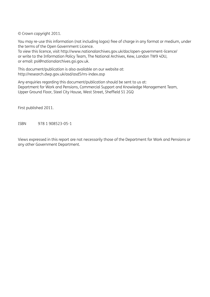© Crown copyright 2011.

You may re-use this information (not including logos) free of charge in any format or medium, under the terms of the Open Government Licence.

To view this licence, visit http://www.nationalarchives.gov.uk/doc/open-government-licence/ or write to the Information Policy Team, The National Archives, Kew, London TW9 4DU, or email: psi@nationalarchives.gsi.gov.uk.

This document/publication is also available on our website at: http://research.dwp.gov.uk/asd/asd5/rrs-index.asp

Any enquiries regarding this document/publication should be sent to us at: Department for Work and Pensions, Commercial Support and Knowledge Management Team, Upper Ground Floor, Steel City House, West Street, Sheffield S1 2GQ

First published 2011.

ISBN 978 1 908523-05-1

Views expressed in this report are not necessarily those of the Department for Work and Pensions or any other Government Department.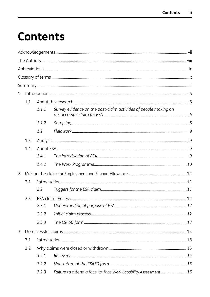# **Contents**

| $\mathbf{1}$   |     |       |                                                                  |  |  |  |
|----------------|-----|-------|------------------------------------------------------------------|--|--|--|
|                | 1.1 |       |                                                                  |  |  |  |
|                |     | 1.1.1 | Survey evidence on the post-claim activities of people making an |  |  |  |
|                |     | 1.1.2 |                                                                  |  |  |  |
|                |     | 1.2   |                                                                  |  |  |  |
|                | 1.3 |       |                                                                  |  |  |  |
|                | 1.4 |       |                                                                  |  |  |  |
|                |     | 1.4.1 |                                                                  |  |  |  |
|                |     | 1.4.2 |                                                                  |  |  |  |
| $\overline{2}$ |     |       |                                                                  |  |  |  |
|                | 2.1 |       |                                                                  |  |  |  |
|                |     | 2.2   |                                                                  |  |  |  |
|                | 2.3 |       |                                                                  |  |  |  |
|                |     | 2.3.1 |                                                                  |  |  |  |
|                |     | 2.3.2 |                                                                  |  |  |  |
|                |     | 2.3.3 |                                                                  |  |  |  |
| 3              |     |       |                                                                  |  |  |  |
|                | 3.1 |       |                                                                  |  |  |  |
|                | 3.2 |       |                                                                  |  |  |  |
|                |     | 3.2.1 |                                                                  |  |  |  |
|                |     | 3.2.2 |                                                                  |  |  |  |
|                |     | 3.2.3 | Failure to attend a face-to-face Work Capability Assessment 15   |  |  |  |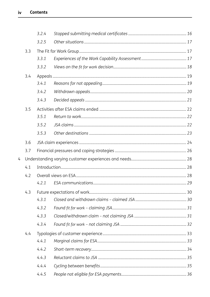|     |     | 3.2.4 |  |  |
|-----|-----|-------|--|--|
|     |     | 3.2.5 |  |  |
|     | 3.3 |       |  |  |
|     |     | 3.3.1 |  |  |
|     |     | 3.3.2 |  |  |
|     | 3.4 |       |  |  |
|     |     | 3.4.1 |  |  |
|     |     | 3.4.2 |  |  |
|     |     | 3.4.3 |  |  |
|     | 3.5 |       |  |  |
|     |     | 3.5.1 |  |  |
|     |     | 3.5.2 |  |  |
|     |     | 3.5.3 |  |  |
|     | 3.6 |       |  |  |
|     | 3.7 |       |  |  |
| 4   |     |       |  |  |
| 4.1 |     |       |  |  |
|     | 4.2 |       |  |  |
|     |     | 4.2.1 |  |  |
|     | 4.3 |       |  |  |
|     |     | 4.3.1 |  |  |
|     |     | 4.3.2 |  |  |
|     |     | 4.3.3 |  |  |
|     |     | 4.3.4 |  |  |
|     | 4.4 |       |  |  |
|     |     | 4.4.1 |  |  |
|     |     | 4.4.2 |  |  |
|     |     | 4.4.3 |  |  |
|     |     | 4.4.4 |  |  |
|     |     | 4.4.5 |  |  |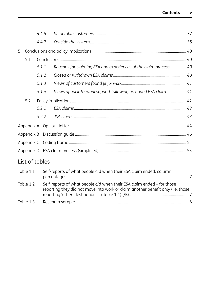|   |            | 4.4.6 |                                                                   |  |  |  |  |
|---|------------|-------|-------------------------------------------------------------------|--|--|--|--|
|   |            | 4.4.7 |                                                                   |  |  |  |  |
| 5 |            |       |                                                                   |  |  |  |  |
|   | 5.1        |       |                                                                   |  |  |  |  |
|   |            | 5.1.1 | Reasons for claiming ESA and experiences of the claim process  40 |  |  |  |  |
|   |            | 5.1.2 |                                                                   |  |  |  |  |
|   |            | 5.1.3 |                                                                   |  |  |  |  |
|   |            | 5.1.4 | Views of back-to-work support following an ended ESA claim 41     |  |  |  |  |
|   | 5.2        |       |                                                                   |  |  |  |  |
|   |            | 5.2.1 |                                                                   |  |  |  |  |
|   |            | 5.2.2 |                                                                   |  |  |  |  |
|   |            |       |                                                                   |  |  |  |  |
|   | Appendix B |       |                                                                   |  |  |  |  |
|   |            |       |                                                                   |  |  |  |  |
|   |            |       |                                                                   |  |  |  |  |
|   |            |       | List of tables                                                    |  |  |  |  |

| Table 1.1 | Self-reports of what people did when their ESA claim ended, column                                                                                        |  |
|-----------|-----------------------------------------------------------------------------------------------------------------------------------------------------------|--|
| Table 1.2 | Self-reports of what people did when their ESA claim ended - for those<br>reporting they did not move into work or claim another benefit only (i.e. those |  |
| Table 1.3 |                                                                                                                                                           |  |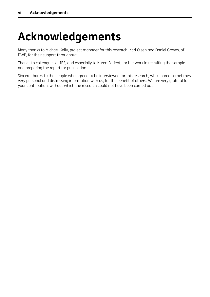# **Acknowledgements**

Many thanks to Michael Kelly, project manager for this research, Karl Olsen and Daniel Groves, of DWP, for their support throughout.

Thanks to colleagues at IES, and especially to Karen Patient, for her work in recruiting the sample and preparing the report for publication.

Sincere thanks to the people who agreed to be interviewed for this research, who shared sometimes very personal and distressing information with us, for the benefit of others. We are very grateful for your contribution, without which the research could not have been carried out.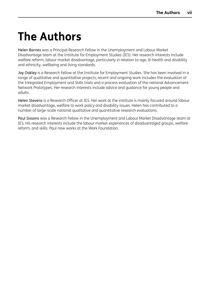# <span id="page-7-0"></span>**The Authors**

Helen Barnes was a Principal Research Fellow in the Unemployment and Labour Market Disadvantage team at the Institute for Employment Studies (IES). Her research interests include welfare reform, labour market disadvantage, particularly in relation to age, ill-health and disability and ethnicity, wellbeing and living standards.

Joy Oakley is a Research Fellow at the Institute for Employment Studies. She has been involved in a range of qualitative and quantitative projects; recent and ongoing work includes the evaluation of the Integrated Employment and Skills trials and a process evaluation of the national Advancement Network Prototypes. Her research interests include advice and guidance for young people and adults.

Helen Stevens is a Research Officer at IES. Her work at the institute is mainly focused around labour market disadvantage, welfare to work policy and disability issues. Helen has contributed to a number of large-scale national qualitative and quantitative research evaluations.

Paul Sissons was a Research Fellow in the Unemployment and Labour Market Disadvantage team at IES. His research interests include the labour market experiences of disadvantaged groups, welfare reform, and skills. Paul now works at the Work Foundation.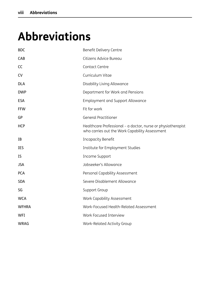# <span id="page-8-0"></span>**Abbreviations**

| <b>BDC</b>   | Benefit Delivery Centre                                                                                        |
|--------------|----------------------------------------------------------------------------------------------------------------|
| CAB          | Citizens Advice Bureau                                                                                         |
| CC           | Contact Centre                                                                                                 |
| <b>CV</b>    | Curriculum Vitae                                                                                               |
| <b>DLA</b>   | Disability Living Allowance                                                                                    |
| <b>DWP</b>   | Department for Work and Pensions                                                                               |
| <b>ESA</b>   | <b>Employment and Support Allowance</b>                                                                        |
| <b>FFW</b>   | Fit for work                                                                                                   |
| GP           | <b>General Practitioner</b>                                                                                    |
| <b>HCP</b>   | Healthcare Professional - a doctor, nurse or physiotherapist<br>who carries out the Work Capability Assessment |
| IB           | <b>Incapacity Benefit</b>                                                                                      |
| <b>IES</b>   | Institute for Employment Studies                                                                               |
| IS           | Income Support                                                                                                 |
| <b>JSA</b>   | Jobseeker's Allowance                                                                                          |
| <b>PCA</b>   | Personal Capability Assessment                                                                                 |
| <b>SDA</b>   | Severe Disablement Allowance                                                                                   |
| SG           | Support Group                                                                                                  |
| <b>WCA</b>   | Work Capability Assessment                                                                                     |
| <b>WFHRA</b> | Work-Focused Health-Related Assessment                                                                         |
| <b>WFI</b>   | Work Focused Interview                                                                                         |
| <b>WRAG</b>  | Work-Related Activity Group                                                                                    |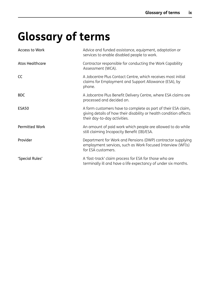# <span id="page-9-0"></span>**Glossary of terms**

| <b>Access to Work</b>  | Advice and funded assistance, equipment, adaptation or<br>services to enable disabled people to work.                                                               |
|------------------------|---------------------------------------------------------------------------------------------------------------------------------------------------------------------|
| <b>Atos Healthcare</b> | Contractor responsible for conducting the Work Capability<br>Assessment (WCA).                                                                                      |
| CC                     | A Jobcentre Plus Contact Centre, which receives most initial<br>claims for Employment and Support Allowance (ESA), by<br>phone.                                     |
| <b>BDC</b>             | A Jobcentre Plus Benefit Delivery Centre, where ESA claims are<br>processed and decided on.                                                                         |
| ESA50                  | A form customers have to complete as part of their ESA claim,<br>giving details of how their disability or health condition affects<br>their day-to-day activities. |
| <b>Permitted Work</b>  | An amount of paid work which people are allowed to do while<br>still claiming Incapacity Benefit (IB)/ESA.                                                          |
| Provider               | Department for Work and Pensions (DWP) contractor supplying<br>employment services, such as Work Focused Interview (WFIs)<br>for ESA customers.                     |
| 'Special Rules'        | A 'fast-track' claim process for ESA for those who are<br>terminally ill and have a life expectancy of under six months.                                            |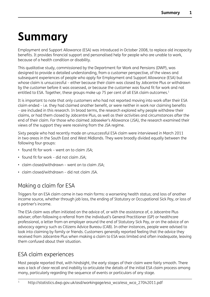# <span id="page-10-0"></span>**Summary**

Employment and Support Allowance (ESA) was introduced in October 2008, to replace old incapacity benefits. It provides financial support and personalised help for people who are unable to work, because of a health condition or disability.

This qualitative study, commissioned by the Department for Work and Pensions (DWP), was designed to provide a detailed understanding, from a customer perspective, of the views and subsequent experiences of people who apply for Employment and Support Allowance (ESA) but whose claim is unsuccessful – either because their claim was closed by Jobcentre Plus or withdrawn by the customer before it was assessed, or because the customer was found fit for work and not entitled to ESA. Together, these groups make up 75 per cent of all ESA claim outcomes.<sup>1</sup>

It is important to note that only customers who had not reported moving into work after their ESA claim ended – i.e. they had claimed another benefit, or were neither in work nor claiming benefits – are included in this research. In broad terms, the research explored why people withdrew their claims, or had them closed by Jobcentre Plus, as well as their activities and circumstances after the end of their claim. For those who claimed Jobseeker's Allowance (JSA), the research examined their views of the support they were receiving from the JSA regime.

Sixty people who had recently made an unsuccessful ESA claim were interviewed in March 2011 in two areas in the South East and West Midlands. They were broadly divided equally between the following four groups:

- found fit for work went on to claim JSA;
- found fit for work did not claim JSA;
- claim closed/withdrawn went on to claim JSA;
- claim closed/withdrawn did not claim JSA.

# Making a claim for ESA

Triggers for an ESA claim came in two main forms: a worsening health status; and loss of another income source, whether through job loss, the ending of Statutory or Occupational Sick Pay, or loss of a partner's income.

The ESA claim was often initiated on the advice of, or with the assistance of, a Jobcentre Plus adviser; often following a referral from the individual's General Practitioner (GP) or healthcare professional, a letter from an employer around the end of Statutory Sick Pay, or on the advice of an advocacy agency such as Citizens Advice Bureau (CAB). In other instances, people were advised to look into claiming by family or friends. Customers generally reported feeling that the advice they received from Jobcentre Plus when making a claim to ESA was limited and often inadequate, leaving them confused about their situation.

# ESA claim experiences

Most people reported that, with hindsight, the early stages of their claim were fairly smooth. There was a lack of clear recall and inability to articulate the details of the initial ESA claim process among many, particularly regarding the sequence of events or particulars of any stage.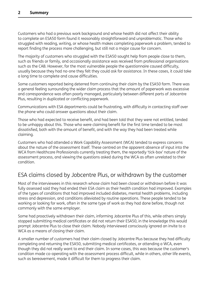Customers who had a previous work background and whose health did not affect their ability to complete an ESA50 form found it reasonably straightforward and unproblematic. Those who struggled with reading, writing, or whose health makes completing paperwork a problem, tended to report finding the process more challenging, but still not a major cause for concern.

The majority of customers who struggled with the ESA50 sought help from people close to them, such as friends or family, and occasionally assistance was received from professional organisations such as the CAB. However, for the most vulnerable people the questionnaire caused difficulty, usually because they had no-one they felt they could ask for assistance. In these cases, it could take a long time to complete and cause difficulties.

Some customers reported being deterred from continuing their claim by the ESA50 form. There was a general feeling surrounding the wider claim process that the amount of paperwork was excessive and correspondence was often poorly managed, particularly between different parts of Jobcentre Plus, resulting in duplicated or conflicting paperwork.

Communications with ESA departments could be frustrating, with difficulty in contacting staff over the phone who could answer questions about their claim.

Those who had expected to receive benefit, and had been told that they were not entitled, tended to be unhappy about this. Those who were claiming benefit for the first time tended to be most dissatisfied, both with the amount of benefit, and with the way they had been treated while claiming.

Customers who had attended a Work Capability Assessment (WCA) tended to express concerns about the nature of the assessment itself. These centred on the apparent absence of input into the WCA from Healthcare Professionals currently treating them, the reportedly 'tick-box' nature of the assessment process, and viewing the questions asked during the WCA as often unrelated to their condition.

# ESA claims closed by Jobcentre Plus, or withdrawn by the customer

Most of the interviewees in this research whose claim had been closed or withdrawn before it was fully assessed said they had ended their ESA claim as their health condition had improved. Examples of the types of conditions that had improved included diabetes, mental health problems, including stress and depression, and conditions alleviated by routine operations. These people tended to be working or looking for work, often in the same type of work as they had done before, though not commonly with the same employer.

Some had proactively withdrawn their claim, informing Jobcentre Plus of this, while others simply stopped submitting medical certificates or did not return their ESA50, in the knowledge this would prompt Jobcentre Plus to close their claim. Nobody interviewed consciously ignored an invite to a WCA as a means of closing their claim.

A smaller number of customers had their claim closed by Jobcentre Plus because they had difficulty completing and returning the ESA50, submitting medical certificates, or attending a WCA, even though they did not really want to end their claim. In some cases, this was because the customer's condition made co-operating with the assessment process difficult, while in others, other life events, such as bereavement, made it difficult for them to progress their claim.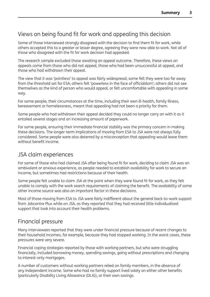# Views on being found fit for work and appealing this decision

Some of those interviewed strongly disagreed with the decision to find them fit for work, while others accepted this to a greater or lesser degree, agreeing they were now able to work. Not all of those who disagreed with the fit for work decision had appealed.

The research sample excluded those awaiting an appeal outcome. Therefore, these views on appeals come from those who did not appeal, those who had been unsuccessful at appeal, and those who had withdrawn their appeal.

The view that it was 'pointless' to appeal was fairly widespread; some felt they were too far away from the threshold set for ESA; others felt 'powerless in the face of officialdom'; others did not see themselves as the kind of person who would appeal, or felt uncomfortable with appealing in some way.

For some people, their circumstances at the time, including their own ill-health, family illness, bereavement or homelessness, meant that appealing had not been a priority for them.

Some people who had withdrawn their appeal decided they could no longer carry on with it as it entailed several stages and an increasing amount of paperwork.

For some people, ensuring their immediate financial stability was the primary concern in making these decisions. The longer-term implications of moving from ESA to JSA were not always fully considered. Some people were also deterred by a misconception that appealing would leave them without benefit income.

## JSA claim experiences

For some of those who had claimed JSA after being found fit for work, deciding to claim JSA was an ambivalent or anxious experience, as people needed to establish availability for work to secure an income, but sometimes had restrictions because of their health.

Some people felt unable to claim JSA at the point when they were found fit for work, as they felt unable to comply with the work search requirements of claiming the benefit. The availability of some other income source was also an important factor in these decisions.

Most of those moving from ESA to JSA were fairly indifferent about the general back-to-work support from Jobcentre Plus while on JSA, as they reported that they had received little individualised support that took into account their health problems.

## Financial pressure

Many interviewees reported that they were under financial pressure because of recent changes to their household incomes, for example, because they had stopped working. In the worst cases, these pressures were very severe.

Financial coping strategies reported by those with working partners, but who were struggling financially, included borrowing money, spending savings, going without prescriptions and changing to interest-only mortgages.

A number of customers without working partners relied on family members, in the absence of any independent income. Some who had no family support lived solely on either other benefits (particularly Disability Living Allowance (DLA)), or their own savings.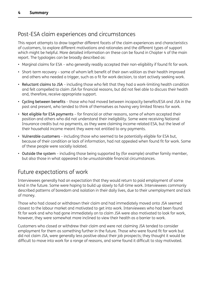# Post-ESA claim experiences and circumstances

This report attempts to draw together different facets of the claim experiences and characteristics of customers, to explore different motivations and rationales and the different types of support which might be helpful. More detailed information on these can be found in Chapter 4 of the main report. The typologies can be broadly described as:

- Marginal claims for ESA who generally readily accepted their non-eligibility if found fit for work.
- Short-term recovery some of whom left benefit of their own volition as their health improved and others who needed a trigger, such as a fit for work decision, to start actively seeking work.
- Reluctant claims to JSA including those who felt that they had a work-limiting health condition and felt compelled to claim JSA for financial reasons, but did not feel able to discuss their health and, therefore, receive appropriate support.
- Cycling between benefits those who had moved between incapacity benefits/ESA and JSA in the past and present, who tended to think of themselves as having very limited fitness for work.
- Not eligible for ESA payments for financial or other reasons, some of whom accepted their position and others who did not understand their ineligibility. Some were receiving National Insurance credits but no payments, as they were claiming income-related ESA, but the level of their household income meant they were not entitled to any payments.
- Vulnerable customers including those who seemed to be potentially eligible for ESA but, because of their condition or lack of information, had not appealed when found fit for work. Some of these people were socially isolated.
- Outside the system including those being supported by (for example) another family member, but also those in what appeared to be unsustainable financial circumstances.

## Future expectations of work

Interviewees generally had an expectation that they would return to paid employment of some kind in the future. Some were hoping to build up slowly to full-time work. Interviewees commonly described patterns of boredom and isolation in their daily lives, due to their unemployment and lack of money.

Those who had closed or withdrawn their claim and had immediately moved onto JSA seemed closest to the labour market and motivated to get into work. Interviewees who had been found fit for work and who had gone immediately on to claim JSA were also motivated to look for work, however, they were somewhat more inclined to view their health as a barrier to work.

Customers who closed or withdrew their claim and were not claiming JSA tended to consider employment for them as something further in the future. Those who were found fit for work but did not claim JSA, were generally less positive about their job prospects; they thought it would be difficult to move into work for a range of reasons, and some found it difficult to stay motivated.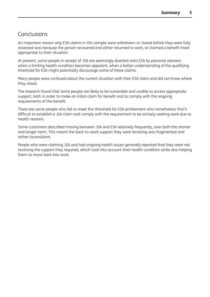## Conclusions

An important reason why ESA claims in this sample were withdrawn or closed before they were fully assessed was because the person recovered and either returned to work, or claimed a benefit more appropriate to their situation.

At present, some people in receipt of JSA are seemingly diverted onto ESA by personal advisers when a limiting health condition becomes apparent, when a better understanding of the qualifying threshold for ESA might potentially discourage some of these claims.

Many people were confused about the current situation with their ESA claim and did not know where they stood.

The research found that some people are likely to be vulnerable and unable to access appropriate support, both in order to make an initial claim for benefit and to comply with the ongoing requirements of the benefit.

There are some people who fail to meet the threshold for ESA entitlement who nonetheless find it difficult to establish a JSA claim and comply with the requirement to be actively seeking work due to health reasons.

Some customers described moving between JSA and ESA relatively frequently, over both the shorter and longer-term. This meant the back-to-work support they were receiving was fragmented and rather inconsistent.

People who were claiming JSA and had ongoing health issues generally reported that they were not receiving the support they required, which took into account their health condition while also helping them to move back into work.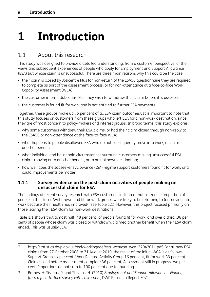# <span id="page-15-0"></span>**1 Introduction**

# 1.1 About this research

This study was designed to provide a detailed understanding, from a customer perspective, of the views and subsequent experiences of people who apply for Employment and Support Allowance (ESA) but whose claim is unsuccessful. There are three main reasons why this could be the case:

- their claim is closed by Jobcentre Plus for non-return of the ESA50 questionnaire they are required to complete as part of the assessment process, or for non-attendance at a face-to-face Work Capability Assessment (WCA);
- the customer informs Jobcentre Plus they wish to withdraw their claim before it is assessed;
- the customer is found fit for work and is not entitled to further ESA payments.

Together, these groups make up 75 per cent of all ESA claim outcomes<sup>2</sup>. It is important to note that this study focuses on customers from these groups who left ESA for a non-work destination, since they are of most concern to policy-makers and interest groups. In broad terms, this study explores:

- why some customers withdrew their ESA claims, or had their claim closed through non-reply to the ESA50 or non-attendance at the face-to-face WCA;
- what happens to people disallowed ESA who do not subsequently move into work, or claim another benefit;
- what individual and household circumstances surround customers making unsuccessful ESA claims moving onto another benefit, or to an unknown destination;
- how well does the Jobseeker's Allowance (JSA) regime support customers found fit for work, and could improvements be made?

#### **1.1.1 Survey evidence on the post-claim activities of people making an unsuccessful claim for ESA**

The findings of recent survey research with ESA customers indicated that a sizeable proportion of people in the closed/withdrawn and fit for work groups were likely to be returning to (or moving into) work because their health has improved<sup>3</sup> (see Table 1.1). However, this project focused primarily on those leaving their ESA claim for non-work destinations.

Table 1.1 shows that almost half (48 per cent) of people found fit for work, and over a third (38 per cent) of people whose claim was closed or withdrawn, claimed another benefit when their ESA claim ended. This was usually JSA.

- 2 http://statistics.dwp.gov.uk/asd/workingage/esa\_wca/esa\_wca\_27042011.pdf. For all new ESA claims from 27 October 2008 to 31 August 2010, the result of the initial WCA is as follows: Support Group six per cent, Work Related Activity Group 16 per cent, fit for work 39 per cent, Claim closed before assessment complete 36 per cent, Assessment still in progress two per cent. Proportions do not sum to 100 per cent due to rounding.
- 3 Barnes, H. Sissons, P. and Stevens, H. (2010) *Employment and Support Allowance – Findings from a face-to-face survey with customers*, DWP Research Report 707.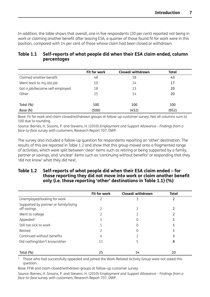In addition, the table shows that overall, one in five respondents (20 per cent) reported not being in work or claiming another benefit after leaving ESA; a quarter of those found fit for work were in this position, compared with 14 per cent of those whose claim had been closed or withdrawn.

|                                | Fit for work | Closed/withdrawn | Total |
|--------------------------------|--------------|------------------|-------|
| Claimed another benefit        | 48           | 38               | 43    |
| Went back to my old job        | 10           | 24               | 17    |
| Got a job/became self-employed | 18           | 23               | 20    |
| Other                          | 25           | 14               | 20    |
|                                |              |                  |       |
| Total (%)                      | 100          | 100              | 100   |
| Base (N)                       | (500)        | (452)            | (952) |

## **Table 1.1 Self-reports of what people did when their ESA claim ended, column percentages**

Base: Fit for work and claim closed/withdrawn groups at follow-up customer survey. Not all columns sum to 100 due to rounding.

Source: Barnes, H. Sissons, P. and Stevens, H. (2010) *Employment and Support Allowance – Findings from a face-to-face survey with customers*, Research Report 707, DWP.

The survey also included a follow-up question for respondents reporting an 'other' destination. The results of this are reported in Table 1.2 and show that this group moved onto a fragmented range of activities, which were split between 'clear' items such as retiring or being supported by a family, partner or savings, and 'unclear' items such as 'continuing without benefits' or responding that they 'did not know' what they did next.

#### **Table 1.2 Self-reports of what people did when their ESA claim ended – for those reporting they did not move into work or claim another benefit only (i.e. those reporting 'other' destinations in Table 1.1) (%)**

|                                                      | Fit for work | Closed/withdrawn | <b>Total</b> |  |
|------------------------------------------------------|--------------|------------------|--------------|--|
| Unemployed/looking for work                          |              |                  |              |  |
| Supported by partner or family/living<br>off savings |              |                  |              |  |
| Went to college                                      |              |                  |              |  |
| Appealed <sup>1</sup>                                |              |                  |              |  |
| Still too sick to work                               |              |                  |              |  |
| Retired                                              |              |                  |              |  |
| Continued without benefits                           | 4            |                  |              |  |
| Did nothing/don't know/other                         | 11           |                  | 8            |  |
| Total (%)                                            | 25           | 14               | 20           |  |

<sup>1</sup> Those who had successfully appealed and joined the Work-Related Activity Group were not asked this question.

Base: FFW and claim closed/withdrawn groups at follow-up customer survey.

Source: Barnes, H. Sissons, P. and Stevens. H. (2010) *Employment and Support Allowance – Findings from a face-to-face survey with customers*, Research Report 707, DWP.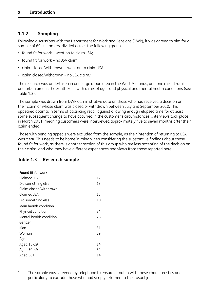## <span id="page-17-0"></span>**1.1.2 Sampling**

Following discussions with the Department for Work and Pensions (DWP), it was agreed to aim for a sample of 60 customers, divided across the following groups:

- found fit for work went on to claim JSA;
- found fit for work no JSA claim;
- claim closed/withdrawn went on to claim JSA;
- claim closed/withdrawn no JSA claim.<sup>4</sup>

The research was undertaken in one large urban area in the West Midlands, and one mixed rural and urban area in the South East, with a mix of ages and physical and mental health conditions (see Table 1.3).

The sample was drawn from DWP administrative data on those who had received a decision on their claim or whose claim was closed or withdrawn between July and September 2010. This appeared optimal in terms of balancing recall against allowing enough elapsed time for at least some subsequent change to have occurred in the customer's circumstances. Interviews took place in March 2011, meaning customers were interviewed approximately five to seven months after their claim ended.

Those with pending appeals were excluded from the sample, as their intention of returning to ESA was clear. This needs to be borne in mind when considering the substantive findings about those found fit for work, as there is another section of this group who are less accepting of the decision on their claim, and who may have different experiences and views from those reported here.

| Found fit for work      |    |  |  |
|-------------------------|----|--|--|
| Claimed JSA             | 17 |  |  |
| Did something else      | 18 |  |  |
| Claim closed/withdrawn  |    |  |  |
| Claimed JSA             | 15 |  |  |
| Did something else      | 10 |  |  |
| Main health condition   |    |  |  |
| Physical condition      | 34 |  |  |
| Mental health condition | 26 |  |  |
| Gender                  |    |  |  |
| Man                     | 31 |  |  |
| Woman                   | 29 |  |  |
| Age                     |    |  |  |
| Aged 18-29              | 14 |  |  |
| Aged 30-49              | 32 |  |  |
| Aged 50+                | 14 |  |  |

#### **Table 1.3 Research sample**

<sup>4</sup> The sample was screened by telephone to ensure a match with these characteristics and particularly to exclude those who had simply returned to their usual job.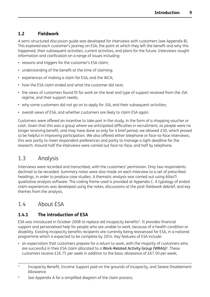## <span id="page-18-0"></span>**1.2 Fieldwork**

A semi-structured discussion guide was developed for interviews with customers (see Appendix B). This explored each customer's journey on ESA, the point at which they left the benefit and why this happened, their subsequent activities, current activities, and plans for the future. Interviews sought information and clarification on a range of issues including:

- reasons and triggers for the customer's ESA claim;
- understanding of the benefit at the time of claiming;
- experiences of making a claim for ESA, and the WCA;
- how the ESA claim ended and what the customer did next;
- the views of customers found fit for work on the level and type of support received from the JSA regime, and their support needs;
- why some customers did not go on to apply for JSA, and their subsequent activities;
- overall views of ESA, and whether customers are likely to claim ESA again.

Customers were offered an incentive to take part in the study, in the form of a shopping voucher or cash. Given that this was a group where we anticipated difficulties in recruitment, as people were no longer receiving benefit, and may have done so only for a brief period, we allowed £30, which proved to be helpful in improving participation. We also offered either telephone or face-to-face interviews; this was partly to meet respondent preferences and partly to manage a tight deadline for the research. Around half the interviews were carried out face-to-face, and half by telephone.

# 1.3 Analysis

Interviews were recorded and transcribed, with the customers' permission. Only two respondents declined to be recorded. Summary notes were also made on each interview to a set of prescribed headings, in order to produce case studies. A thematic analysis was carried out using AtlasTi qualitative analysis software. The coding frame used is provided at Appendix C. A typology of ended claim experiences was developed using the notes, discussions at the post-fieldwork debrief, and key themes from the analysis.

# 1.4 About ESA

## **1.4.1 The introduction of ESA**

ESA was introduced in October 2008 to replace old incapacity benefits<sup>5</sup>. It provides financial support and personalised help for people who are unable to work, because of a health condition or disability. Existing incapacity benefits recipients are currently being reassessed for ESA, in a national programme which is expected to be complete by 2014. Key features of ESA include:

• an expectation that customers prepare for a return to work, with the majority of customers who are successful in their ESA claim allocated to a Work-Related Activity Group (WRAG)<sup>6</sup>. These customers receive £26.75 per week in addition to the basic allowance of £67.50 per week;

<sup>6</sup> See Appendix A for a simplified diagram of the claim process.

<sup>&</sup>lt;sup>5</sup> Incapacity Benefit, Income Support paid on the grounds of incapacity, and Severe Disablement Allowance.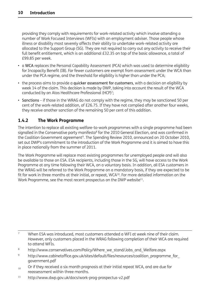<span id="page-19-0"></span>providing they comply with requirements for work-related activity which involve attending a number of Work Focused Interviews (WFIs) with an employment adviser. Those people whose illness or disability most severely affects their ability to undertake work-related activity are allocated to the Support Group (SG). They are not required to carry out any activity to receive their full benefit entitlement, which is an additional £32.35 on top of the basic allowance, a total of £99.85 per week.

- a WCA replaces the Personal Capability Assessment (PCA) which was used to determine eligibility for Incapacity Benefit (IB). Far fewer customers are exempt from assessment under the WCA than under the PCA regime, and the threshold for eligibility is higher than under the PCA;
- the process aims to provide a quicker assessment for customers, with a decision on eligibility by week 14 of the claim. This decision is made by DWP, taking into account the result of the WCA conducted by an Atos Healthcare Professional (HCP)<sup>7</sup>;
- Sanctions if those in the WRAG do not comply with the regime, they may be sanctioned 50 per cent of the work-related addition, of £26.75. If they have not complied after another four weeks, they receive another sanction of the remaining 50 per cent of this addition.

### **1.4.2 The Work Programme**

The intention to replace all existing welfare-to-work programmes with a single programme had been signalled in the Conservative party manifesto<sup>8</sup> for the 2010 General Election, and was confirmed in the Coalition Government agreement<sup>9</sup>. The Spending Review 2010, announced on 20 October 2010, set out DWP's commitment to the introduction of the Work Programme and it is aimed to have this in place nationally from the summer of 2011.

The Work Programme will replace most existing programmes for unemployed people and will also be available to those on ESA. ESA recipients, including those in the SG, will have access to the Work Programme at any time following their WCA, on a voluntary basis. In addition, all ESA customers in the WRAG will be referred to the Work Programme on a mandatory basis, if they are expected to be fit for work in three months at their initial, or repeat, WCA<sup>10</sup>. For more detailed information on the Work Programme, see the most recent prospectus on the DWP website<sup>11</sup>.

- <sup>9</sup> [http://www.cabinetoffice.gov.uk/sites/default/files/resources/coalition\\_programme\\_for\\_](http://www.cabinetoffice.gov.uk/sites/default/files/resources/coalition_programme_for_government.pdf) [government.pdf](http://www.cabinetoffice.gov.uk/sites/default/files/resources/coalition_programme_for_government.pdf)
- $_{10}$  Or if they received a six month prognosis at their initial repeat WCA, and are due for reassessment within three months.
- <sup>11</sup> http://www.dwp.gov.uk/docs/work-prog-prospectus-v2.pdf

<sup>7</sup> When ESA was introduced, most customers attended a WFI at week nine of their claim. However, only customers placed in the WRAG following completion of their WCA are required to attend WFIs.

<sup>8</sup> http://www.conservatives.com/Policy/Where\_we\_stand/Jobs\_and\_Welfare.aspx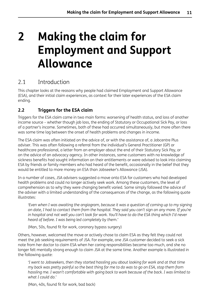# <span id="page-20-0"></span>**2 Making the claim for Employment and Support Allowance**

# 2.1 Introduction

This chapter looks at the reasons why people had claimed Employment and Support Allowance (ESA), and their initial claim experiences, as context for their later experiences of the ESA claim ending.

## **2.2 Triggers for the ESA claim**

Triggers for the ESA claim came in two main forms: worsening of health status, and loss of another income source – whether though job loss, the ending of Statutory or Occupational Sick Pay, or loss of a partner's income. Sometimes, both of these had occurred simultaneously, but more often there was some time lag between the onset of health problems and changes in income.

The ESA claim was often initiated on the advice of, or with the assistance of, a Jobcentre Plus adviser. This was often following a referral from the individual's General Practitioner (GP) or healthcare professional, a letter from an employer about the end of their Statutory Sick Pay, or on the advice of an advocacy agency. In other instances, some customers with no knowledge of sickness benefits had sought information on their entitlements or were advised to look into claiming ESA by friends or family members who had heard of the benefit, occasionally in the belief that they would be entitled to more money on ESA than Jobseeker's Allowance (JSA).

In a number of cases, JSA advisers suggested a move onto ESA for customers who had developed health problems and could no longer actively seek work. Among these customers, the level of comprehension as to why they were changing benefit varied. Some simply followed the advice of the adviser with a limited understanding of the consequences of the change, as the following quote illustrates:

*'Even when I was awaiting the angiogram, because it was a question of coming up to my signing* on date, I had to contact them from the hospital. They said you can't sign on any more. If you're in hospital and not well you can't look for work. You'll have to do the ESA thing which I'd never *heard of before. I was being led completely by them.'*

(Man, 50s, found fit for work, coronary bypass surgery)

Others, however, welcomed the move or actively chose to claim ESA as they felt they could not meet the job seeking requirements of JSA. For example, one JSA customer decided to seek a sick note from her doctor to claim ESA when her caring responsibilities became too much, and she no longer felt mentally strong enough to claim JSA at the same time. Another example is illustrated in the following quote:

*'I went to Jobseekers, then they started hassling you about looking for work and at that time* my back was pretty painful so the best thing for me to do was to go on ESA, stop them from *hassling me. I wasn't comfortable with going back to work because of the back. I was limited to what I could do.'*

(Man, 40s, found fit for work, bad back)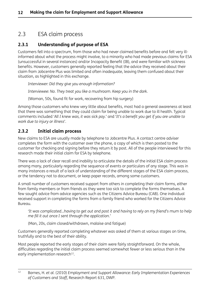# <span id="page-21-0"></span>2.3 ESA claim process

## **2.3.1 Understanding of purpose of ESA**

Customers fell into a spectrum, from those who had never claimed benefits before and felt very illinformed about what the process might involve, to a minority who had made previous claims for ESA (unsuccessful in several instances) and/or Incapacity Benefit (IB), and were familiar with sickness benefits. However, customers generally reported feeling that the advice they received about their claim from Jobcentre Plus was limited and often inadequate, leaving them confused about their situation, as highlighted in this exchange.

*Interviewer: Did they give you enough information?*

*Interviewee: No. They treat you like a mushroom. Keep you in the dark.*

(Woman, 50s, found fit for work, recovering from hip surgery)

Among those customers who knew very little about benefits, most had a general awareness at least that there was something that they could claim for being unable to work due to ill health. Typical comments included 'All I knew was, it was sick pay.' and 'It's a benefit you get if you are unable to *work due to injury or illness*'.

## **2.3.2 Initial claim process**

New claims to ESA are usually made by telephone to Jobcentre Plus. A contact centre adviser completes the form with the customer over the phone, a copy of which is then posted to the customer for checking and signing before they return it by post. All of the people interviewed for this research made their initial claim for ESA by telephone.

There was a lack of clear recall and inability to articulate the details of the initial ESA claim process among many, particularly regarding the sequence of events or particulars of any stage. This was in many instances a result of a lack of understanding of the different stages of the ESA claim process, or the tendency not to document, or keep paper records, among some customers.

A small number of customers received support from others in completing their claim forms, either from family members or from friends as they were too sick to complete the forms themselves. A few sought advice from advice agencies such as the Citizens Advice Bureau (CAB). One individual received support in completing the forms from a family friend who worked for the Citizens Advice Bureau.

'It was complicated...having to get out and post it and having to rely on my friend's mum to help *me fill it out once I sent through the application.'*

(Man, 20s, claim closed/withdrawn, malaise and fatigue)

Customers generally reported completing whatever was asked of them at various stages on time, truthfully and to the best of their ability.

Most people reported the early stages of their claim were fairly straightforward. On the whole, difficulties regarding the initial claim process seemed somewhat fewer or less serious than in the early implementation research<sup>12</sup>.

<sup>12</sup> Barnes, H. *et al.* (2010) *Employment and Support Allowance: Early Implementation Experiences of Customers and Staff*, Research Report 631, DWP.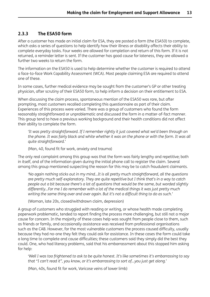## **2.3.3 The ESA50 form**

After a customer has made an initial claim for ESA, they are posted a form (the ESA50) to complete, which asks a series of questions to help identify how their illness or disability affects their ability to complete everyday tasks. Four weeks are allowed for completion and return of this form. If it is not returned, a reminder letter is sent. If the customer has good cause for lateness, they are allowed a further two weeks to return the form.

The information on the ESA50 is used to help determine whether the customer is required to attend a face-to-face Work Capability Assessment (WCA). Most people claiming ESA are required to attend one of these.

In some cases, further medical evidence may be sought from the customer's GP or other treating physician, after scrutiny of their ESA50 form, to help inform a decision on their entitlement to ESA.

When discussing the claim process, spontaneous mention of the ESA50 was rare, but after prompting, most customers recalled completing this questionnaire as part of their claim. Experiences of this process were varied. There was a group of customers who found the form reasonably straightforward or unproblematic and discussed the form in a matter-of-fact manner. This group tend to have a previous working background and their health conditions did not affect their ability to complete the form.

*'It was pretty straightforward. If I remember rightly it just covered what we'd been through on* the phone. It was fairly black and white whether it was on the phone or with the form. It was all *quite straightforward.'*

(Man, 40, found fit for work, anxiety and trauma)

The only real complaint among this group was that the form was fairly lengthy and repetitive; both in itself, and of the information given during the initial phone call to register the claim. Several among this group mentioned suspecting the reason for this may be to catch fraudulent claimants.

*'No again nothing sticks out in my mind…It is all pretty much straightforward, all the questions are pretty much self-explanatory. They are quite repetitive but I think that's in a way to catch people out a bit because there's a lot of questions that would be the same, but worded slightly differently…For me I do remember with a lot of the medical things it was just pretty much writing the same thing over and over again. But it's not a difficult thing to do as such.'*

(Woman, late 20s, closed/withdrawn claim, depression)

A group of customers who struggled with reading or writing, or whose health made completing paperwork problematic, tended to report finding the process more challenging, but still not a major cause for concern. In the majority of these cases help was sought from people close to them, such as friends or family, and occasionally assistance was received from professional organisations such as the CAB. However, for the most vulnerable customers the process caused difficulty, usually because they had no-one they felt they could ask for assistance. In these cases the form could take a long time to complete and cause difficulties; these customers said they simply did the best they could. One, who had literacy problems, said that his embarrassment about this stopped him asking for help:

*'Well I was too frightened to ask to be quite honest. It's like sometimes it's embarrassing to say that "I can't read it", you know, or it's embarrassing to sort of…you just get along.'*

(Man, 40s, found fit for work, Varicose veins of lower limb)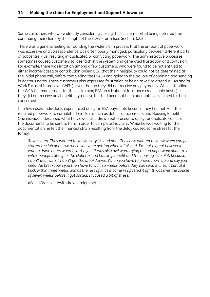Some customers who were already considering closing their claim reported being deterred from continuing their claim by the length of the ESA50 form (see Section 3.2.2).

There was a general feeling surrounding the wider claim process that the amount of paperwork was excessive and correspondence was often poorly managed, particularly between different parts of Jobcentre Plus, resulting in duplicated or conflicting paperwork. The administrative processes sometimes caused customers to lose faith in the system and generated frustration and confusion. For example, there was irritation among a few customers, who were found to be not entitled to either income-based or contribution-based ESA, that their ineligibility could not be determined at the initial phone call, before completing the ESA50 and going to the trouble of obtaining and sending in doctor's notes. These customers also expressed frustration at being asked to attend WCAs and/or Work Focused Interviews (WFIs), even though they did not receive any payments. While attending the WCA is a requirement for those claiming ESA on a National Insurance credits only basis (i.e. they did not receive any benefit payments), this had been not been adequately explained to those concerned.

In a few cases, individuals experienced delays in ESA payments because they had not kept the required paperwork to complete their claim, such as details of tax credits and Housing Benefit. One individual described what he viewed as a drawn out process to apply for duplicate copies of the documents to be sent to him, in order to complete his claim. While he was waiting for the documentation he felt the financial strain resulting from the delay caused some stress for the family.

'It was hard. They wanted to know every ins and outs. They also wanted to know when you first *started the job and how much you were getting when it finished. I'm not a great believer in writing down notes when I start a job. It was also awkward trying to find paperwork about my wife's benefits. She gets the child tax and housing benefit and the housing side of it, because* I don't deal with it I don't get the breakdowns. When you have to phone them up and say you need the breakdown you then have to wait six weeks before they can send it...I sent part of it back within three weeks and as the rest of it, as it came in I posted it off. It was over the course *of seven weeks before it got sorted. It caused a bit of stress.'*

(Man, 40s, closed/withdrawn, migraine)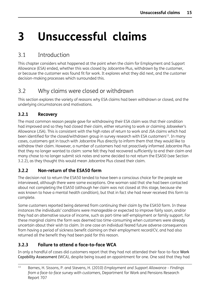# <span id="page-24-0"></span>**3 Unsuccessful claims**

# 3.1 Introduction

This chapter considers what happened at the point when the claim for Employment and Support Allowance (ESA) ended, whether this was closed by Jobcentre Plus, withdrawn by the customer, or because the customer was found fit for work. It explores what they did next, and the customer decision-making processes which surrounded this.

# 3.2 Why claims were closed or withdrawn

This section explores the variety of reasons why ESA claims had been withdrawn or closed, and the underlying circumstances and motivations.

## **3.2.1 Recovery**

The most common reason people gave for withdrawing their ESA claim was that their condition had improved and so they had closed their claim, either returning to work or claiming Jobseeker's Allowance (JSA). This is consistent with the high rates of return to work and JSA claims which had been identified for the closed/withdrawn group in survey research with ESA customers<sup>13</sup>. In many cases, customers got in touch with Jobcentre Plus directly to inform them that they would like to withdraw their claim. However, a number of customers had not proactively informed Jobcentre Plus that they no longer wanted to claim: some felt they had recovered sufficiently to end their claim and many chose to no longer submit sick notes and some decided to not return the ESA50 (see Section 3.2.2), as they thought this would mean Jobcentre Plus closed their claim.

## **3.2.2 Non-return of the ESA50 form**

The decision not to return the ESA50 tended to have been a conscious choice for the people we interviewed, although there were some exceptions. One woman said that she had been contacted about not completing the ESA50 (although her claim was not closed at this stage, because she was known to have a mental health condition), but that in fact she had never received this form to complete.

Some customers reported being deterred from continuing their claim by the ESA50 form. In these instances the individuals' conditions were manageable or expected to improve fairly soon, and/or they had an alternative source of income, such as part-time self-employment or family support. For these marginal claims the form was deemed too time-consuming when customers were already uncertain about their wish to claim. In one case an individual feared future adverse consequences from having a period of sickness benefit claiming on their employment record/CV, and had also returned all the benefit they had been paid for this reason.

## **3.2.3 Failure to attend a face-to-face WCA**

In only a handful of cases did customers report that they had not attended their face-to-face Work Capability Assessment (WCA), despite being issued an appointment for one. One said that they had

<sup>13</sup> Barnes, H. Sissons, P. and Stevens, H. (2010) *Employment and Support Allowance – Findings from a face-to-face survey with customers*, Department for Work and Pensions Research Report 707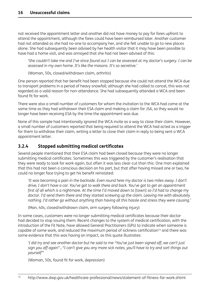<span id="page-25-0"></span>not received the appointment letter and another did not have money to pay for fares upfront to attend the appointment, although the fares could have been reimbursed later. Another customer had not attended as she had no-one to accompany her, and she felt unable to go to new places alone. She had subsequently been advised by her health visitor that it may have been possible to have had a home visit, and was annoyed that she had not been advised of this:

'She couldn't take me and I've since found out I can be assessed at my doctor's surgery. I can be *assessed in my own home. It's like the masons. It's so secretive.'*

(Woman, 50s, closed/withdrawn claim, arthritis)

One person reported that her benefit had been stopped because she could not attend the WCA due to transport problems in a period of heavy snowfall; although she had called to cancel, this was not regarded as a valid reason for non-attendance. She had subsequently attended a WCA and been found fit for work.

There were also a small number of customers for whom the invitation to the WCA had come at the same time as they had withdrawn their ESA claim and making a claim for JSA, so they would no longer have been receiving ESA by the time the appointment was due.

None of this sample had intentionally ignored the WCA invite as a way to close their claim. However, a small number of customers reported that being required to attend the WCA had acted as a trigger for them to withdraw their claim, writing a letter to close their claim in reply to being sent a WCA appointment letter.

### **3.2.4 Stopped submitting medical certificates**

Several people mentioned that their ESA claim had been closed because they were no longer submitting medical certificates. Sometimes this was triggered by the customer's realisation that they were ready to look for work again, but often it was less clear-cut than this. One man explained that this had not been a conscious decision on his part, but that after having missed one or two, he could no longer face trying to get his benefit reinstated:

'It was becoming a pain in the backside. Even round here my doctor is two miles away. I don't drive, I don't have a car. You've got to walk there and back. You've got to get an appointment first of all which is a nightmare. At the time I'd moved down to [town] so I'd had to change my *doctor. I'd send them there and they started screwing up the claim. Leaving me with absolutely nothing. I'd rather go without anything than having all this hassle and stress they were causing.'*

(Man, 40s, closed/withdrawn claim, arm surgery following injury)

In some cases, customers were no longer submitting medical certificates because their doctor had decided to stop issuing them. Recent changes to the system of medical certification, with the introduction of the Fit Note, have allowed General Practitioners (GPs) to indicate when someone is capable of some work, and reduced the maximum period of sickness certification<sup>14</sup> and there was some evidence that this was having an impact, as this quote illustrates:

'I did try and see another doctor but he said to me "You've just been signed off, we can't just sign you off again"..."I can't give you any more sick notes, you'll have to try and sort things out *yourself"'*

(Woman, 50s, found fit for work, depression)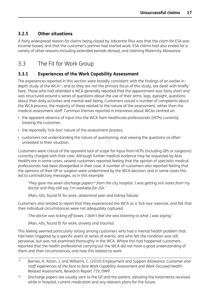## <span id="page-26-0"></span>**3.2.5 Other situations**

A fairly widespread reason for claims being closed by Jobcentre Plus was that the claim for ESA was income-based, and that the customer's partner had started work. ESA claims had also ended for a variety of other reasons including extended periods abroad, and claiming Maternity Allowance.

# 3.3 The Fit for Work Group

## **3.3.1 Experiences of the Work Capability Assessment**

The experiences reported in this section were broadly consistent with the findings of an earlier indepth study of the WCA<sup>15</sup>, and as they are not the primary focus of this study, are dealt with briefly here. Those who had attended a WCA generally reported that the appointment was fairly short and was structured around a series of questions about the use of their arms, legs, eyesight, questions about their daily activities and mental well-being. Customers voiced a number of complaints about the WCA process; the majority of these related to the nature of the assessment, rather than the medical assessment staff. Common themes reported in interviews about WCAs centred on:

- the apparent absence of input into the WCA from healthcare professionals (HCPs) currently treating the customer;
- the reportedly 'tick-box' nature of the assessment process;
- customers not understanding the nature of questioning, and viewing the questions as often unrelated to their situation.

Customers were critical of the apparent lack of scope for input from HCPs (including GPs or surgeons) currently charged with their care. Although further medical evidence may be requested by Atos Healthcare in some cases, several customers reported feeling that the opinion of specialist medical professionals had been disregarded in their case. A number of customers also reported feeling that the opinions of their GP or surgeon were undermined by the WCA decision; and in some cases this led to contradictory messages, as in this example:

*'They gave me seven discharge papers16 from the city hospital. I was getting sick notes from my doctor and they still say I'm available for JSA.'*

(Man, 40s, found fit for work, abdominal pain and kidney failure)

Customers also tended to report that they experienced the WCA as a 'tick-box' exercise, and felt that their individual circumstances were not adequately captured.

*'The doctor was ticking off boxes. I didn't feel she was listening to what I was saying.'*

(Man, 40s, found fit for work, anxiety and trauma)

This feeling seemed particularly strong among customers who had a mental health problem that had been triggered by a specific event or series of events, and who felt the condition was still pervasive, but was not examined thoroughly in the WCA. Where this had happened customers reported that the health professional carrying out the WCA did not have a good understanding of them and their circumstances, and how this related to work.

<sup>15</sup> Barnes, H. Aston, J. and Williams, C. (2010) *Employment and Support Allowance: Customer and staff experiences of the face to face Work Capability Assessment and Work-Focused Health-Related Assessment*, Research Report 719, DWP.

<sup>&</sup>lt;sup>16</sup> Discharge papers are usually sent to the GP and the patient, detailing the treatments received while in hospital, current medication and any relevant plans for the future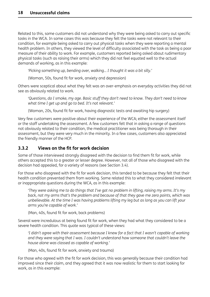<span id="page-27-0"></span>Related to this, some customers did not understand why they were being asked to carry out specific tasks in the WCA. In some cases this was because they felt the tasks were not relevant to their condition, for example being asked to carry out physical tasks when they were reporting a mental health problem. In others, they viewed the level of difficulty associated with the task as being a poor measure of their ability to work. For example, customers reported being asked about rudimentary physical tasks (such as raising their arms) which they did not feel equated well to the actual demands of working, as in this example:

*'Picking something up, bending over, walking… I thought it was a bit silly.'*

(Woman, 50s, found fit for work, anxiety and depression)

Others were sceptical about what they felt was an over-emphasis on everyday activities they did not see as obviously related to work.

*'Questions, do I smoke, my age. Basic stuff they don't need to know. They don't need to know what time I get up and go to bed. It's not relevant.'*

(Woman, 20s, found fit for work, having diagnostic tests and awaiting hip surgery)

Very few customers were positive about their experience of the WCA; either the assessment itself or the staff undertaking the assessment. A few customers felt that in asking a range of questions not obviously related to their condition, the medical practitioner was being thorough in their assessment, but they were very much in the minority. In a few cases, customers also appreciated the friendly manner of the HCP.

### **3.3.2 Views on the fit for work decision**

Some of those interviewed strongly disagreed with the decision to find them fit for work, while others accepted this to a greater or lesser degree. However, not all of those who disagreed with the decision had appealed, for a variety of reasons (see Section 3.4).

For those who disagreed with the fit for work decision, this tended to be because they felt that their health condition prevented them from working. Some related this to what they considered irrelevant or inappropriate questions during the WCA, as in this example:

'They were asking me to do things that I've got no problem in lifting, raising my arms. It's my *back, not my arms that's the problem and because of that they gave me zero points, which was* unbelievable. At the time I was having problems lifting my leg but as long as you can lift your *arms you're capable of work.'*

(Man, 40s, found fit for work, back problems)

Several were incredulous at being found fit for work, when they had what they considered to be a severe health condition. This quote was typical of these views:

*'I didn't agree with their assessment because I knew for a fact that I wasn't capable of working and they were saying that I was. I couldn't understand how someone that couldn't leave the house alone was classed as capable of working.'*

(Man, 40s, found fit for work, anxiety and trauma)

For those who agreed with the fit for work decision, this was generally because their condition had improved since their claim, and they agreed that it was now realistic for them to start looking for work, as in this example: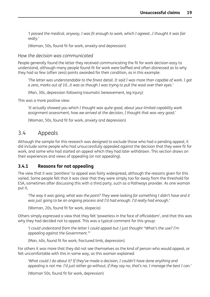<span id="page-28-0"></span>*'I passed the medical, anyway, I was fit enough to work, which I agreed…I thought it was fair really.'*

(Woman, 50s, found fit for work, anxiety and depression)

*How the decision was communicated*

People generally found the letter they received communicating the fit for work decision easy to understand, although many people found fit for work were baffled and often distressed as to why they had so few (often zero) points awarded for their condition, as in this example:

'The letter was understandable to the finest detail. It said I was more than capable of work. I got *a zero, marks out of 10…it was as though I was trying to pull the wool over their eyes.'*

(Man, 30s, depression following traumatic bereavement, leg injury)

This was a more positive view:

*'It actually showed you which I thought was quite good, about your limited capability work assignment assessment, how we arrived at the decision, I thought that was very good.'*

(Woman, 50s, found fit for work, anxiety and depression)

## 3.4 Appeals

Although the sample for this research was designed to exclude those who had a pending appeal, it did include some people who had unsuccessfully appealed against the decision that they were fit for work, and some who had started an appeal which they had later withdrawn. This section draws on their experiences and views of appealing (or not appealing).

#### **3.4.1 Reasons for not appealing**

The view that it was '*pointless*' to appeal was fairly widespread, although the reasons given for this varied. Some people felt that it was clear that they were simply too far away from the threshold for ESA, sometimes after discussing this with a third party, such as a Pathways provider. As one woman put it,

'The way it was going, what was the point? They were looking for something I didn't have and it *was just going to be an ongoing process and I'd had enough. I'd really had enough.'*

(Woman, 20s, found fit for work, alopecia)

Others simply expressed a view that they felt 'powerless in the face of officialdom', and that this was why they had decided not to appeal. This was a typical comment for this group:

*'I could understand from the letter I could appeal but I just thought "What's the use? I'm appealing against the Government."'*

(Man, 40s, found fit for work, fractured limb, depression)

For others it was more that they did not see themselves as the kind of person who would appeal, or felt uncomfortable with this in some way, as this woman explained:

*'What could I do about it? If they've made a decision, I couldn't have done anything and* appealing is not me. I'd just rather go without, if they say no, that's no. I manage the best I can.'

(Woman 50s, found fit for work, depression)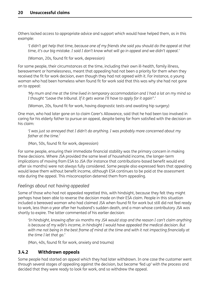<span id="page-29-0"></span>Others lacked access to appropriate advice and support which would have helped them, as in this example:

'I didn't get help that time, because one of my friends she said you should do the appeal at that time, it's our big mistake. I said I don't know what will go in appeal and we didn't appeal.'

(Woman, 20s, found fit for work, depression)

For some people, their circumstances at the time, including their own ill-health, family illness, bereavement or homelessness, meant that appealing had not been a priority for them when they received the fit for work decision, even though they had not agreed with it. For instance, a young woman who had been homeless when found fit for work said that this was why she had not gone on to appeal:

'My mum and me at the time lived in temporary accommodation and I had a lot on my mind so *I thought "Leave the tribunal. If it gets worse I'll have to apply for it again".'*

(Woman, 20s, found fit for work, having diagnostic tests and awaiting hip surgery)

One man, who had later gone on to claim Carer's Allowance, said that he had been too involved in caring for his elderly father to pursue an appeal, despite being far from satisfied with the decision on his claim:

*'I was just so annoyed that I didn't do anything. I was probably more concerned about my father at the time.'*

(Man, 50s, found fit for work, depression)

For some people, ensuring their immediate financial stability was the primary concern in making these decisions. Where JSA provided the same level of household income, the longer-term implications of moving from ESA to JSA (for instance that contributions-based benefit would end after six months) were not always fully considered. Some people also expressed fears that appealing would leave them without benefit income, although ESA continues to be paid at the assessment rate during the appeal. This misconception deterred them from appealing.

#### *Feelings about not having appealed*

Some of those who had not appealed regretted this, with hindsight, because they felt they might perhaps have been able to reverse the decision made on their ESA claim. People in this situation included a bereaved woman who had claimed JSA when found fit for work but still did not feel ready to work, less than a year after her husband's sudden death, and a man whose contributory JSA was shortly to expire. The latter commented of his earlier decision:

*'In hindsight, knowing after six months my JSA would stop and the reason I can't claim anything is because of my wife's income, in hindsight I would have appealed the medical decision. But* with me not being in the best frame of mind at the time and with it not impacting financially at *the time I let that go.'*

(Man, 40s, found fit for work, anxiety and trauma)

#### **3.4.2 Withdrawn appeals**

Some people had started an appeal which they had later withdrawn. In one case the customer went through several stages of appealing against the decision, but became 'fed up' with the process and decided that they were ready to look for work, and so withdrew the appeal.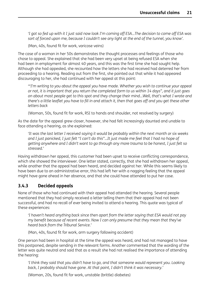<span id="page-30-0"></span>'I got so fed up with it I just said now look I'm coming off ESA...The decision to come off ESA was sort of forced upon me, because I couldn't see any light at the end of the tunnel, you know'.

(Man, 40s, found fit for work, varicose veins)

The case of a woman in her 50s demonstrates the thought processes and feelings of those who chose to appeal. She explained that she had been very upset at being refused ESA when she had been in employment for almost 40 years, and this was the first time she had sought help. Although she had appealed, she recounted how the letters she had received had deterred her from proceeding to a hearing. Reading out from the first, she pointed out that while it had appeared discouraging to her, she had continued with her appeal at this point:

*'"I'm writing to you about the appeal you have made. Whether you wish to continue your appeal* or not, it is important that you return the completed form to us within 14 days", and it just goes *on about most people get to this spot and they change their mind…Well, that's what I wrote and* there's a little leaflet you have to fill in and attach it, then that goes off and you get these other *letters back*

(Woman, 50s, found fit for work, RSI to hands and shoulder, not resolved by surgery)

As the date for the appeal grew closer, however, she had felt increasingly daunted and unable to face attending a hearing, as she explained:

'It was the last letter I received saying it would be probably within the next month or six weeks and I just panicked, I just felt "I can't do this"...It just made me feel that I had no hope of getting anywhere and I didn't want to go through any more trauma to be honest, I just felt so *stressed.'*

Having withdrawn her appeal, this customer had been upset to receive conflicting correspondence, which she showed the interviewer. One letter stated, correctly, that she had withdrawn her appeal, while another that the appeal had been heard, and decided against her. While this seems likely to have been due to an administrative error, this had left her with a nagging feeling that the appeal might have gone ahead in her absence, and that she could have attended to put her case.

#### **3.4.3 Decided appeals**

None of those who had continued with their appeal had attended the hearing. Several people mentioned that they had simply received a letter telling them that their appeal had not been successful, and had no recall of ever being invited to attend a hearing. This quote was typical of these experiences:

*'I haven't heard anything back since then apart from the letter saying that ESA would not pay my benefit because of recent events. Now I can only presume that they mean that they've heard back from the Tribunal Service.'*

(Man, 40s, found fit for work, arm surgery following accident)

One person had been in hospital at the time the appeal was heard, and had not managed to have this postponed, despite sending in the relevant forms. Another commented that the wording of the letter was quite neutral and said that as a result she had not realised the importance of attending the hearing:

*'I think they said that you didn't have to go, and that someone would represent you. Looking back, I probably should have gone. At that point, I didn't think it was necessary.'*

(Woman, 20s, found fit for work, unstable (brittle) diabetes)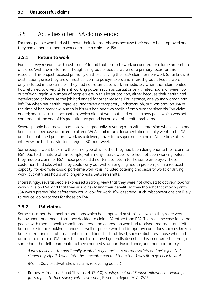# <span id="page-31-0"></span>3.5 Activities after ESA claims ended

For most people who had withdrawn their claims, this was because their health had improved and they had either returned to work or made a claim for JSA.

## **3.5.1 Return to work**

Earlier survey research with customers<sup>17</sup> found that return to work accounted for a large proportion of closed/withdrawn claims, although this group of people were not a primary focus for this research. This project focused primarily on those leaving their ESA claim for non-work (or unknown) destinations, since they are of most concern to policymakers and interest groups. People were only included in the sample if they had not returned to work immediately when their claim ended, had returned to a very different working pattern such as casual or very limited hours, or were now out of work again. A number of people were in this latter position, either because their health had deteriorated or because the job had ended for other reasons. For instance, one young woman had left ESA when her health improved, and taken a temporary Christmas job, but was back on JSA at the time of her interview. A man in his 40s had had two spells of employment since his ESA claim ended; one in his usual occupation, which did not work out, and one in a new post, which was not confirmed at the end of his probationary period because of his health problems.

Several people had moved back into work gradually. A young man with depression whose claim had been closed because of failure to attend WCAs and return documentation initially went on to JSA and then obtained part-time work as a delivery driver for a supermarket chain. At the time of his interview, he had just started a regular 30-hour week.

Some people went back into the same type of work that they had been doing prior to their claim to ESA. Due to the nature of this sample, with many interviewees who had not been working before they made a claim for ESA, these people did not tend to return to the same employer. These customers had jobs which they could carry out with an ongoing health problem, or in a reduced capacity, for example casual part-time work (this included catering and security work) or driving work, but with less hours and longer breaks between shifts.

Interestingly, several people expressed a strong view that they were not allowed to actively look for work while on ESA, and that they would risk losing their benefit, so they thought that moving onto JSA was a prerequisite before they could look for work. If widespread, such misconceptions are likely to reduce job outcomes for those on ESA.

## **3.5.2 JSA claims**

Some customers had health conditions which had improved or stabilised, which they were very happy about and meant that they decided to claim JSA rather than ESA. This was the case for some people with mental health conditions, stress and depression who had received treatment and felt better able to face looking for work, as well as people who had temporary conditions such as broken bones or routine operations, or whose conditions had stabilised, such as diabetes. Those who had decided to return to JSA once their health improved generally described this in naturalistic terms, as something that felt appropriate to their changed situation. For instance, one man said simply:

'I was feeling better and I really wanted to get back into normal society and get a job. So I signed myself off. I went into the Jobcentre and told them that I was fit to go back to work.'

(Man, 20s, closed/withdrawn claim, recovering addict)

<sup>17</sup> Barnes, H. Sissons, P. and Stevens, H. (2010) *Employment and Support Allowance – Findings from a face-to-face survey with customers*, Research Report 707, DWP.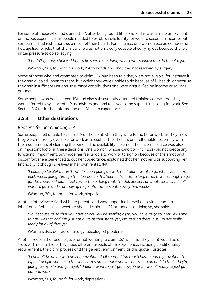<span id="page-32-0"></span>For some of those who had claimed JSA after being found fit for work, this was a more ambivalent or anxious experience, as people needed to establish availability for work to secure an income, but sometimes had restrictions as a result of their health. For instance, one woman explained how she had applied for jobs that she knew she was not physically capable of carrying out because she felt under pressure to do so, saying:

'I hadn't got any choice...I had to be seen to be doing what I was supposed to do to get a job.'

(Woman, 50s, found fit for work, RSI to hands and shoulder, not resolved by surgery)

Some of those who had attempted to claim JSA had been told they were not eligible, for instance if they had a job still open to them, but which they were unable to do because of ill-health, or because they had insufficient National Insurance contributions and were disqualified on income or savings grounds.

Some people who had claimed JSA had also subsequently attended training courses that they were referred to by Jobcentre Plus advisers and had received some support in looking for work. See Section 3.6 for further information on JSA claim experiences.

#### **3.5.3 Other destinations**

#### *Reasons for not claiming JSA*

Some people felt unable to claim JSA at the point when they were found fit for work, as they knew they were not really available for work as a result of their health, and felt unable to comply with the requirements of claiming the benefit. The availability of some other income source was also an important factor in these decisions. One woman, whose condition (hair loss) did not create any functional impairment, but made her feel unable to work or to sign on because of the emotional discomfort she experienced about her appearance, explained that her mother was supporting her financially, although she lived in her own rented flat:

'I could go for JSA but with what's been going on with me I didn't want to go into a Jobcentre *each week, going through the depression. It's been difficult for a long time. It was enough to go for the medical, I didn't feel comfortable doing that. The Job Seekers or whatever it is, I didn't want to go in and start having to go into the Jobcentre every two weeks.'*

(Woman, 20s, found fit for work, alopecia)

Another interviewee lived with her parents and was supporting herself on savings from an inheritance. When asked whether she had claimed JSA or thought of doing so, she said:

'No, because to do that you have to actively be seeking a job, you have to go to interviews and things like that and I'm just not quite at that stage yet, I'm getting there, but I'm not really *ready for all of that yet.'*

(Woman, 30s, depression and gynaecological problems)

Another reason that people gave for not wanting to claim JSA was that they felt it would be a 'hassle'. This could refer to various different aspects of the experience, including conditionality requirements, the claim process and the general environment, as this quote illustrates:

*'I couldn't be doing with any aggravation. It all seemed too much hassle and aggravation. The* type of people you get in the Jobcentres are not nice and it's not me to go and do that. They're going to say "Go and get a job". I didn't want to just get any job and I wasn't ready to just go *out and work.'*

(Woman, 50s, found fit for work, depression)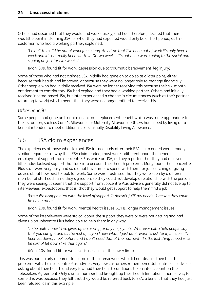<span id="page-33-0"></span>Others had assumed that they would find work quickly, and had, therefore, decided that there was little point in claiming JSA for what they had expected would only be a short period, as this customer, who had a working partner, explained:

'I didn't think I'd be out of work for so long. Any time that I've been out of work it's only been a week and it's not really been worth it. Or two weeks. It's not been worth going to the social and *signing on just for two weeks.'*

(Man, 30s, found fit for work, depression due to traumatic bereavement; leg injury)

Some of those who had not claimed JSA initially had gone on to do so at a later point, either because their health had improved, or because they were no longer able to manage financially. Other people who had initially received JSA were no longer receiving this because their six-month entitlement to contributory JSA had expired and they had a working partner. Others had initially received income-based JSA, but later experienced a change in circumstances (such as their partner returning to work) which meant that they were no longer entitled to receive this.

### *Other benefits*

Some people had gone on to claim an income replacement benefit which was more appropriate to their situation, such as Carer's Allowance or Maternity Allowance. Others had coped by living off a benefit intended to meet additional costs, usually Disability Living Allowance.

## 3.6 JSA claim experiences

The experiences of those who claimed JSA immediately after their ESA claim ended were broadly similar, regardless of why their ESA claim ended; most were indifferent about the general employment support from Jobcentre Plus while on JSA, as they reported that they had received little individualised support that took into account their health problems. Many found that Jobcentre Plus staff were very busy and so did not have time to spend with them for jobsearching or giving advice about how best to look for work. Some were frustrated that they were seen by a different member of staff each time they signed on, so they could not develop a relationship with the person they were seeing. It seems that the support from Jobcentre Plus advisers generally did not live up to interviewees' expectations, that is, that they would get support to help them find a job.

*'I'm quite disappointed with the level of support. It doesn't fulfil my needs…I reckon they could be doing more.'*

(Man, 20s, found fit for work, mental health issues, ADHD, anger management issues)

Some of the interviewees were stoical about the support they were or were not getting and had given up on Jobcentre Plus being able to help them in any way.

*'To be quite honest I've given up on asking for any help, yeah…Whatever extra help people say* that you can get and all the rest of it, you know what, I just don't want to ask for it, because I've been let down, I feel, before and I don't need that at the moment. It's the last thing I need is to *be sort of let down like that again.'*

(Man, 40s, found fit for work, varicose veins of the lower limb)

This was particularly apparent for some of the interviewees who did not discuss their health problems with their Jobcentre Plus adviser. Very few customers remembered Jobcentre Plus advisers asking about their health and very few had their health conditions taken into account on their Jobseekers Agreement. Only a small number had brought up their health limitations themselves; for some this was because they felt that they would be referred back to ESA, a benefit that they had just been refused, as in this example: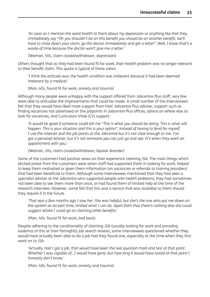*'As soon as I mention the word health to them about my depression or anything like that they immediately say "Oh you shouldn't be on this benefit you should be on another benefit, we'll* have to close down your claim, go the doctor immediately and get a letter". Well, I know that's a *waste of time because the doctor won't give me a letter.'*

(Woman, 50s, claim closed/withdrawn, depression)

Others thought that as they had been found fit for work, their health problem was no longer relevant to their benefit claim. This quote is typical of these views:

*'I think the attitude was; the health condition was irrelevant because it had been deemed irrelevant by a medical.'*

(Man, 40s, found fit for work, anxiety and trauma)

Although many people were unhappy with the support offered from Jobcentre Plus staff, very few were able to articulate the improvements that could be made. A small number of the interviewees felt that they would have liked more support from their Jobcentre Plus adviser; support such as finding vacancies not advertised on the jobpoints in Jobcentre Plus offices, advice on where else to look for vacancies, and Curriculum Vitae (CV) support.

'It would be good if someone could tell me "This is what you should be doing. This is what will *happen. This is your situation and this is your option", instead of having to fend for myself.* I use the internet and the job points at the Jobcentre but it's not clear enough to me. I've got a personal adviser, but it's not someone you can just go and see. It's when they want an *appointment with you.'*

(Woman, 20s, claim closed/withdrawn, bipolar disorder)

Some of the customers had positive views on their experience claiming JSA. The main things which elicited praise from the customers were when staff had supported them in looking for work, helped to keep them motivated or given them information (on vacancies or referrals to training providers) that had been beneficial to them. Although some interviewees mentioned that they had seen a specialist adviser at the Jobcentre who supported people with health problems, they had sometimes not been able to see them more than once, or had found them of limited help at the time of the research interview. However, some felt that this was a service that was available to them should they require it in the future.

'That was a few months ago I saw her. She was helpful, but she's the one who put me down on the system as do part time, limited what I can do. Apart from that there's nothing else she could *suggest where I could go on claiming other benefits.'*

(Man, 40s, found fit for work, bad back)

Despite adhering to the conditionality of claiming JSA (usually looking for work and providing evidence of this at their fortnightly job search review), some interviewees questioned whether they would have actually been able to do a job had they found one, especially at the time when they first went on to JSA.

'Actually, had I got a job, that would have been the real question mark and test at that point. Whether I was capable of...I would have gone, but how long it would have lasted at that point I *honestly don't know.'*

(Man, 40s, found fit for work, anxiety and trauma)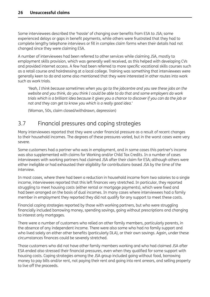<span id="page-35-0"></span>Some interviewees described the 'hassle' of changing over benefits from ESA to JSA; some experienced delays or gaps in benefit payments, while others were frustrated that they had to complete lengthy telephone interviews or fill in complex claim forms when their details had not changed since they were claiming ESA.

A number of interviewees had been referred to other services while claiming JSA, mostly to employment skills provision, which was generally well received, as this helped with developing CVs and provided internet access. A few had been referred to more specific vocational skills courses such as a retail course and hairdressing at a local college. Training was something that interviewees were generally keen to do and some also mentioned that they were interested in other routes into work such as work trials.

*'Yeah, I think because sometimes when you go to the jobcentre and you see these jobs on the website and you think, do you think I could be able to do that and some employers do work* trials which is a brilliant idea because it gives you a chance to discover if you can do the job or *not and they can get to know you which is a really good idea.'*

(Woman, 50s, claim closed/withdrawn, depression)

# 3.7 Financial pressures and coping strategies

Many interviewees reported that they were under financial pressure as a result of recent changes to their household incomes. The degrees of these pressures varied, but in the worst cases were very severe.

Some customers had a partner who was in employment, and in some cases this partner's income was also supplemented with claims for Working and/or Child Tax Credits. In a number of cases interviewees with working partners had claimed JSA after their claim for ESA; although others were either ineligible or had exhausted their eligibility for contributions-based JSA by the time of the interview.

In most cases, where there had been a reduction in household income from two salaries to a single income, interviewees reported that this left finances very stretched. In particular, they reported struggling to meet housing costs (either rental or mortgage payments), which were fixed and had been arranged on the basis of dual incomes. In many cases where interviewees had a family member in employment they reported they did not qualify for any support to meet these costs.

Financial coping strategies reported by those with working partners, but who were struggling financially included borrowing money, spending savings, going without prescriptions and changing to interest only mortgages.

There were a number of customers who relied on other family members, particularly parents, in the absence of any independent income. There were also some who had no family support and who lived solely on either other benefits (particularly DLA), or their own savings. Again, under these circumstances finances could be severely stretched.

Those customers who did not have other family members working and who had claimed JSA after ESA ended also stressed their financial pressures, even when they qualified for some support with housing costs. Coping strategies among the JSA group included going without food, borrowing money to pay bills and/or rent, not paying their rent and going into rent arrears, and selling property to live off the proceeds.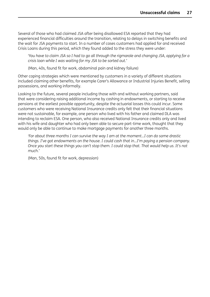Several of those who had claimed JSA after being disallowed ESA reported that they had experienced financial difficulties around the transition, relating to delays in switching benefits and the wait for JSA payments to start. In a number of cases customers had applied for and received Crisis Loans during this period, which they found added to the stress they were under:

'You have to claim JSA so I had to go all through the rigmarole and changing JSA, applying for a *crisis loan while I was waiting for my JSA to be sorted out.'*

(Man, 40s, found fit for work, abdominal pain and kidney failure)

Other coping strategies which were mentioned by customers in a variety of different situations included claiming other benefits, for example Carer's Allowance or Industrial Injuries Benefit, selling possessions, and working informally.

Looking to the future, several people including those with and without working partners, said that were considering raising additional income by cashing in endowments, or starting to receive pensions at the earliest possible opportunity, despite the actuarial losses this could incur. Some customers who were receiving National Insurance credits only felt that their financial situations were not sustainable, for example, one person who lived with his father and claimed DLA was intending to reclaim ESA. One person, who also received National Insurance credits only and lived with his wife and daughter who had only been able to secure part-time work, thought that they would only be able to continue to make mortgage payments for another three months.

*'For about three months I can survive the way I am at the moment…I can do some drastic things. I've got endowments on the house. I could cash that in…I'm paying a pension company.* Once you start these things you can't stop them. I could stop that. That would help us. It's not *much.'*

(Man, 50s, found fit for work, depression)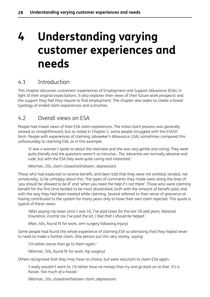# <span id="page-37-0"></span>**4 Understanding varying customer experiences and needs**

# 4.1 Introduction

This chapter discusses customers' experiences of Employment and Support Allowance (ESA), in light of their original expectations. It also explores their views of their future work prospects and the support they feel they require to find employment. The chapter also seeks to create a broad typology of ended claim experiences and outcomes.

# 4.2 Overall views on ESA

People had mixed views of their ESA claim experiences. The initial claim process was generally viewed as straightforward, but as noted in Chapter 2, some people struggled with the ESA50 form. People with experiences of claiming Jobseeker's Allowance (JSA) sometimes compared this unfavourably to claiming ESA, as in this example:

'It was a woman I spoke to about the interview and she was very gentle and caring. They were *quite friendly and the questions weren't so intrusive…The Jobcentre are normally abrasive and rude, but with the ESA they were quite caring and interested.'*

(Woman, 20s, claim closed/withdrawn, depression)

Those who had expected to receive benefit, and been told that they were not entitled, tended, not unnaturally, to be unhappy about this. The types of comments they made were along the lines of '*you should be allowed to be ill*' and '*when you need the help it's not there*'. Those who were claiming benefit for the first time tended to be most dissatisfied, both with the amount of benefit paid, and with the way they had been treated while claiming. Several referred to their sense of grievance at having contributed to the system for many years only to have their own claim rejected. This quote is typical of these views:

*'After paying my taxes since I was 16, I've paid taxes for the last 30 odd years, National Insurance, income tax I've paid the lot, I feel that I should be helped.'*

(Man, 40s, found fit for work, arm surgery following injury)

Some people had found the whole experience of claiming ESA so alienating that they hoped never to need to make a further claim. One person put this very starkly, saying:

*'I'd rather starve than go to them again.'*

(Woman, 50s, found fit for work, hip surgery)

Others recognised that they may have no choice, but were reluctant to claim ESA again:

'I really wouldn't want to. I'd rather have no money than try and go back on to that. It's a *hassle. Too much of a hassle.'*

(Woman, 20s, closed/withdrawn claim, depression)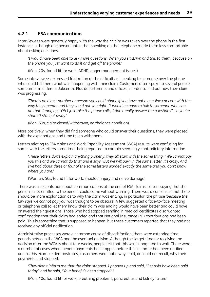### <span id="page-38-0"></span>**4.2.1 ESA communications**

Interviewees were generally happy with the way their claim was taken over the phone in the first instance, although one person noted that speaking on the telephone made them less comfortable about asking questions.

'I would have been able to ask more questions. When you sit down and talk to them, because on *the phone you just want to do it and get off the phone.'*

(Man, 20s, found fit for work, ADHD, anger management issues)

Some interviewees expressed frustration at the difficulty of speaking to someone over the phone who could tell them what was happening with their claim. Customers often spoke to several people, sometimes in different Jobcentre Plus departments and offices, in order to find out how their claim was progressing.

*'There's no direct number or person you could phone if you have got a genuine concern with the way they operate and they could put you right. It would be good to talk to someone who can* do that. I rang up, "Oh I just take the phone calls, I don't really answer the questions", so you're *shut off straight away.'*

(Man, 60s, claim closed/withdrawn, ear/balance condition)

More positively, when they did find someone who could answer their questions, they were pleased with the explanations and time taken with them.

Letters relating to ESA claims and Work Capability Assessment (WCA) results were confusing for some, with the letters sometimes being reported to contain seemingly contradictory information.

*'These letters don't explain anything properly, they all start with the same thing: "We cannot pay* you this and we cannot do this" and it says "But we will pay" in the same letter, it's crazy. And *I've had about three or four of the same letters worded exactly the same and you don't know where you are.'*

(Woman, 50s, found fit for work, shoulder injury and nerve damage)

There was also confusion about communications at the end of ESA claims. Letters saying that the person is not entitled to the benefit could come without warning. There was a consensus that there should be more explanation as to why the claim was ending; in particular, the phrase '*because the law says we cannot pay you*' was thought to be obscure. A few suggested a face-to-face meeting or telephone call to let them know their claim was ending would have been better and could have answered their questions. Those who had stopped sending in medical certificates also wanted confirmation that their claim had ended and that National Insurance (NI) contributions had been paid. This is something that is supposed to happen, but these customers reported that they had not received any official notification.

Administrative processes were a common cause of dissatisfaction; there were extended time periods between the WCA and the eventual decision. Although the target time for receiving the decision after the WCA is about four weeks, people felt that this was a long time to wait. There were a number of cases where benefit payments had stopped before the customer had been notified and as this example demonstrates, customers were not always told, or could not recall, why their payments had stopped.

*'They didn't inform me that the claim stopped. I phoned up and said, "I should have been paid today" and he said, "Your benefit's been stopped".'*

(Man, 40s, found fit for work, breathing problems, pancreatitis and kidney failure)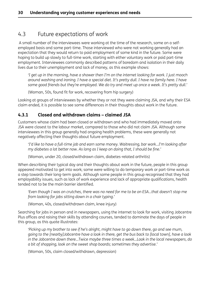# <span id="page-39-0"></span>4.3 Future expectations of work

 A small number of the interviewees were working at the time of the research, some on a selfemployed basis and some part-time. Those interviewed who were not working generally had an expectation that they would return to paid employment of some kind in the future. Some were hoping to build up slowly to full-time work, starting with either voluntary work or paid part-time employment. Interviewees commonly described patterns of boredom and isolation in their daily lives due to their unemployment and lack of money, as this example shows:

'I get up in the morning, have a shower then I'm on the internet looking for work. I just mooch around washing and ironing. I have a special diet. It's pretty dull. I have no family here. I have *some good friends but they're employed. We do try and meet up once a week. It's pretty dull.'*

(Woman, 50s, found fit for work, recovering from hip surgery)

Looking at groups of interviewees by whether they or not they were claiming JSA, and why their ESA claim ended, it is possible to see some differences in their thoughts about work in the future.

## **4.3.1 Closed and withdrawn claims – claimed JSA**

Customers whose claim had been closed or withdrawn and who had immediately moved onto JSA were closest to the labour market, compared to those who did not claim JSA. Although some interviewees in this group generally had ongoing health problems, these were generally not negatively affecting their thoughts about future employment.

*'I'd like to have a full-time job and earn some money. Waitressing, bar work…I'm looking after my diabetes a lot better now. As long as I keep on doing that, I should be fine.'*

(Woman, under 20, closed/withdrawn claim, diabetes-related arthritis)

When describing their typical day and their thoughts about work in the future, people in this group appeared motivated to get into work; some were willing to do temporary work or part-time work as a step towards their long-term goals. Although some people in this group recognised that they had employability issues, such as lack of work experience and lack of appropriate qualifications, health tended not to be the main barrier identified.

*'Even though I was on crutches, there was no need for me to be on ESA…that doesn't stop me from looking for jobs sitting down in a chair typing.'*

(Woman, 40s, closed/withdrawn claim, knee injury)

Searching for jobs in person and in newspapers, using the internet to look for work, visiting Jobcentre Plus offices and raising their skills by attending courses, tended to dominate the days of people in this group, as this quote illustrates:

*'Picking up my brother to see if he's alright, might have to go down there, go and see mum,* going to the [nearby]Jobcentre have a look in there, get the bus back to [local town], have a look *in the Jobcentre down there…Twice maybe three times a week…Look in the local newspapers, do a bit of shopping, look on the sweet shop boards; sometimes they advertise.'*

(Woman, 50s, claim closed/withdrawn, depression)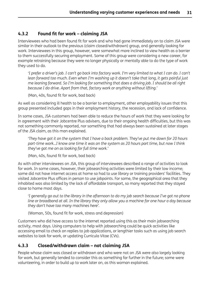### <span id="page-40-0"></span>**4.3.2 Found fit for work – claiming JSA**

Interviewees who had been found fit for work and who had gone immediately on to claim JSA were similar in their outlook to the previous (claim closed/withdrawn) group, and generally looking for work. Interviewees in this group, however, were somewhat more inclined to view health as a barrier to them successfully securing employment. Some of this group were considering a new career, for example retraining because they were no longer physically or mentally able to do the type of work they used to do.

'I prefer a driver's job. I can't go back into factory work. I'm very limited to what I can do. I can't *lean forward too much. Even when I'm washing up it doesn't take that long, it gets painful just me leaning forward. So I'm looking for something that does a driving job. I should be all right because I do drive. Apart from that, factory work or anything without lifting.'*

(Man, 40s, found fit for work, bad back)

As well as considering ill health to be a barrier to employment, other employability issues that this group presented included gaps in their employment history, the recession, and lack of confidence.

In some cases, JSA customers had been able to reduce the hours of work that they were looking for in agreement with their Jobcentre Plus advisers, due to their ongoing health difficulties, but this was not something commonly reported, nor something that had always been sustained at later stages of the JSA claim, as this man explained.

'They have got it on the system that I have a back problem. They've put me down for 20 hours *part-time work…I know one time it was on the system as 20 hours part time, but now I think they've got me on as looking for full time work.'*

(Man, 40s, found fit for work, bad back)

As with other interviewees on JSA, this group of interviewees described a range of activities to look for work. In some cases, however, their jobsearching activities were limited by their low income; some did not have internet access at home so had to use library or training providers' facilities. They visited Jobcentre Plus offices in person to use jobpoints. For some, the geographical area that they inhabited was also limited by the lack of affordable transport, so many reported that they stayed close to home most days.

'I generally go out to the library in the afternoon to do my job search because I've got no phone line or broadband at all. In the library they only allow you a machine for one hour a day because *they don't have too many machines here'.*

(Woman, 50s, found fit for work, stress and depression)

Customers who did have access to the internet reported using this as their main jobsearching activity, most days. Using computers to help with jobsearching could be quick activities like accessing email to check on replies to job applications, or lengthier tasks such as using job search websites to look for work, or updating Curricula Vitae (CVs).

## **4.3.3 Closed/withdrawn claim – not claiming JSA**

People whose claim was closed or withdrawn and who were not on JSA were also largely looking for work, but generally tended to consider this as something far further in the future; some were volunteering, in order to build up to work later on, as this woman explained.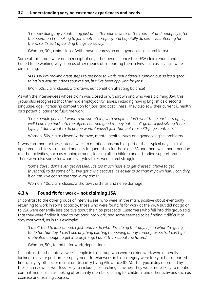<span id="page-41-0"></span>*'I'm now doing my volunteering just one afternoon a week at the moment and hopefully after the operation I'm looking to join another company and hopefully do some volunteering for them, so it's sort of building things up slowly.'*

(Woman, 30s, claim closed/withdrawn, depression and gynaecological problems)

Some of this group were not in receipt of any other benefits once their ESA claim ended and hoped to be working very soon as other means of supporting themselves, such as savings, were diminishing.

'As I say I'm making great steps to get back to work, redundancy's running out so it's a good *thing in a way as it does spur me on, but I've been applying for jobs'*

(Man, 60s, claim closed/withdrawn, ear condition affecting balance)

As with the interviewees whose claim was closed or withdrawn and who were claiming JSA, this group also recognised that they had employability issues, including having English as a second language, age, increasing competition for jobs, and past illness. They also saw their current ill health as a potential barrier to full-time work.

'I'm a people person; I want to do something with people. I don't want to go back into office; well I can't go back into the office. I earned good money but I can't go back just sitting there *typing, I don't want to do phone work, it wasn't just that, but those 80-page contracts.'*

Woman, 50s, claim closed/withdrawn, mental health issues and gynaecological problems

It was common for these interviewees to mention jobsearch as part of their typical day, but this appeared both less structured and less frequent than for those on JSA and there was more mention of other activities, such as running errands, looking after children and attending support groups. There were also some for whom everyday tasks were a real struggle.

*'Some days I don't even get dressed. It's too much hassle to get dressed. I have to get* [husband] to do some of it...I've got a wig because it's easier to do than my own hair. I can drop *it on top. I've got no strength in my arms.'*

Woman, 40s, claim closed/withdrawn, arthritis and nerve damage

#### **4.3.4 Found fit for work – not claiming JSA**

In contrast to the other groups of interviewees, who were, in the main, positive about eventually returning to work in some capacity, those who were found fit for work at the WCA but did not go on to JSA were generally less positive about their job prospects. Customers who fell into this group said that they were finding it hard to get back into work, and some seemed to be finding it difficult to stay motivated, as in this example:

'I don't tend to look ahead. I just tend to do what I'm doing that day. I plan what I'm going *to do for that day. I can't see anything exciting happening or any career prospects. I can't get motivated enough to get into anything. I don't think about the future.'*

(Woman, 50s, found fit for work, depression)

In contrast to other interviewees, people in this group who were seeking work were generally looking solely for part-time employment. Interviewees in this category were likely to be supported financially by others, or reliant on Disability Living Allowance (DLA). The typical day described by these interviewees was less likely to include jobsearching activities; they were more likely to mention commitments such as looking after family members, caring for children, and other activities such as exercise and training courses.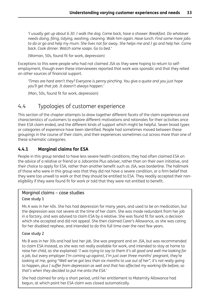<span id="page-42-0"></span>*'I usually get up about 6.30. I walk the dog. Come back, have a shower. Breakfast. Do whatever needs doing, filing, tidying, washing, cleaning. Walk him again. Have lunch. Find some more jobs* to do or go and help my mum. She lives not far away. She helps me and I go and help her. Come *back. Cook dinner. Watch some soaps. Go to bed.'*

(Woman, 50s, found fit for work, depression)

Exceptions to this were people who had not claimed JSA as they were hoping to return to selfemployment, though even these interviewees reported that work was sporadic and that they relied on other sources of financial support.

*'Times are hard aren't they? Everyone is penny pinching. You give a quote and you just hope you'll get that job. It doesn't always happen.'*

(Man, 50s, found fit for work, depression)

## 4.4 Typologies of customer experience

This section of the chapter attempts to draw together different facets of the claim experiences and characteristics of customers to explore different motivations and rationales for their activities once their ESA claim ended, and the different kinds of support which might be helpful. Seven broad types or categories of experience have been identified. People had sometimes moved between these groupings in the course of their claim, and their experiences sometimes cut across more than one of these schematic categories.

### **4.4.1 Marginal claims for ESA**

People in this group tended to have less severe health conditions; they had often claimed ESA on the advice of a relative or friend or a Jobcentre Plus adviser, rather than on their own initiative, and their choice to apply for ESA, rather than another benefit such as JSA, was borderline. The hallmark of those who were in this group was that they did not have a severe condition, or a firm belief that they were too unwell to work or that they should be entitled to ESA. They readily accepted their noneligibility if they were found fit for work or told that they were not entitled to benefit.

#### Marginal claims – case studies Case study 1

Ms A was in her 40s. She has had depression for many years, and used to be on medication, but the depression was not severe at the time of her claim. She was made redundant from her job in a factory, and was advised to claim ESA by a relative. She was found fit for work, a decision which she accepted and did not appeal. She then claimed Carer's Allowance, as she was caring for her disabled nephew, and intended to do this full time over the next few years.

#### Case study 2

Ms B was in her 30s and had lost her job. She was pregnant and on JSA, but was recommended to claim ESA instead, as she was not really available for work, and intended to stay at home to raise her child, as she explained: '*I was trying to say to them it's all good and well me looking for a job, but every employer I'm coming up against, I'm just over three months' pregnant, they're* looking at me, going "Well we've got less than six months to use out of her", it's not really going *to happen, plus I suffer from depression as well and that has affected my working life before, so that's when they decided to put me onto the ESA.*'

She had claimed for only a short period, until her entitlement to Maternity Allowance had begun, at which point her ESA claim was closed automatically.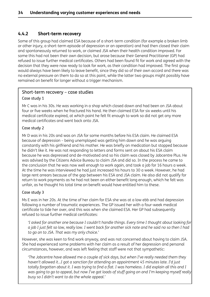#### <span id="page-43-0"></span>**4.4.2 Short-term recovery**

Some of this group had claimed ESA because of a short-term condition (for example a broken limb or other injury, a short-term episode of depression or an operation) and had then closed their claim and spontaneously returned to work, or claimed JSA when their health condition improved. For some this had not been their own decision, but arose because their General Practitioner (GP) had refused to issue further medical certificates. Others had been found fit for work and agreed with the decision that they were now ready to look for work, as their condition had improved. The first group would always have been likely to leave benefit, since they did so of their own accord and there was no external pressure on them to do so at this point, while the latter two groups might possibly have remained on benefit for longer without a trigger mechanism.

# Short-term recovery – case studies

#### Case study 1

Mr C was in his 30s. He was working in a shop which closed down and had been on JSA about four or five weeks when he fractured his hand. He then claimed ESA for six weeks until his medical certificate expired, at which point he felt fit enough to work so did not get any more medical certificates and went back onto JSA.

#### Case study 2

Mr D was in his 20s and was on JSA for some months before his ESA claim. He claimed ESA because of depression – being unemployed was getting him down and he was arguing constantly with his girlfriend and his mother. He was briefly on medication but stopped because he didn't like it. He was not responding to letters and forms sent on about his ESA claim because he was depressed and de-motivated and so his claim was closed by Jobcentre Plus. He was advised by the Citizens Advice Bureau to claim JSA and did so. In the process he came to the conclusion that he was now well enough to work again, and took a job for 16 hours a week. At the time he was interviewed he had just increased his hours to 30 a week. However, he had large rent arrears because of the gap between his ESA and JSA claim. He also did not qualify for return to work payments as he had not been on either benefit long enough, which he felt was unfair, as he thought his total time on benefit would have entitled him to these.

#### Case study 3

Ms E was in her 20s. At the time of her claim for ESA she was at a low ebb and had depression following a number of traumatic experiences. The GP issued her with a four-week medical certificate to tide her over, and this was when she claimed ESA. Her GP had subsequently refused to issue further medical certificates:

*'I asked for another one because I couldn't handle things. Every time I thought about looking for* a job I just felt so low, really low. I went back for another sick note and he said no so then I had *to go on to JSA. That was my only choice.'*

However, she was keen to find work anyway, and was not concerned about having to claim JSA. She had experienced some problems with her claim as a result of her depression and personal circumstances, however, and was left feeling that staff were not that sympathetic:

*'The Jobcentre have allowed me a couple of sick days, but when I've really needed them they haven't allowed it…I got a sanction for attending an appointment 45 minutes late. I'd just* totally forgotten about it. I was trying to find a flat. I was homeless. I did explain all this and I was going to go to appeal, but now I've got loads of stuff going on and I'm keeping myself really *busy so I didn't want to do the whole appeal.'*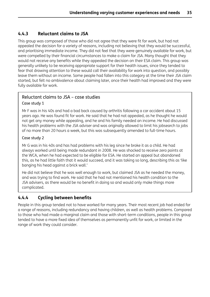### <span id="page-44-0"></span>**4.4.3 Reluctant claims to JSA**

This group was composed of those who did not agree that they were fit for work, but had not appealed the decision for a variety of reasons, including not believing that they would be successful, and prioritising immediate income. They did not feel that they were genuinely available for work, but were compelled by their financial circumstances to make a claim for JSA. Many thought that they would not receive any benefits while they appealed the decision on their ESA claim. This group was generally unlikely to be receiving appropriate support for their health issues, since they tended to fear that drawing attention to these would call their availability for work into question, and possibly leave them without an income. Some people had fallen into this category at the time their JSA claim started, but felt no ambivalence about claiming later, once their health had improved and they were fully available for work.

### Reluctant claims to JSA – case studies

#### Case study 1

Mr F was in his 40s and had a bad back caused by arthritis following a car accident about 15 years ago. He was found fit for work. He said that he had not appealed, as he thought he would not get any money while appealing, and he and his family needed an income. He had discussed his health problems with the JSA adviser and was originally allowed to limit his jobsearch to jobs of no more than 20 hours a week, but this was subsequently amended to full-time hours.

#### Case study 2

Mr G was in his 40s and has had problems with his leg since he broke it as a child. He had always worked until being made redundant in 2008. He was shocked to receive zero points at the WCA, when he had expected to be eligible for ESA. He started an appeal but abandoned this, as he had little faith that it would succeed, and it was taking so long, describing this as 'like banging his head against a brick wall.'

He did not believe that he was well enough to work, but claimed JSA as he needed the money, and was trying to find work. He said that he had not mentioned his health condition to the JSA advisers, as there would be no benefit in doing so and would only make things more complicated.

## **4.4.4 Cycling between benefits**

People in this group tended not to have worked for many years. Their most recent job had ended for a range of reasons, including redundancy and having children, as well as health problems. Compared to those who had made a marginal claim and those with short-term conditions, people in this group tended to have a more fixed idea of themselves as permanently unfit for work, or limited in the range of work they could consider.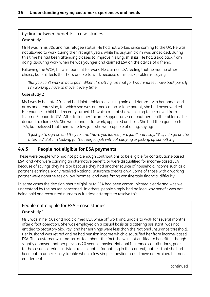## <span id="page-45-0"></span>Cycling between benefits – case studies Case study 1

Mr H was in his 30s and has refugee status. He had not worked since coming to the UK. He was not allowed to work during the first eight years while his asylum claim was undecided, during this time he had been attending classes to improve his English skills. He had a bad back from doing labouring work when he was younger and claimed ESA on the advice of a friend.

Following the WCA, he was found fit for work. He claimed JSA feeling that he had no other choice, but still feels that he is unable to work because of his back problems, saying:

'But you can't work in back pain. When I'm sitting like that for two minutes I have back pain. If *I'm working I have to move it every time.'*

#### Case study 2

Ms I was in her late 40s, and had joint problems, causing pain and deformity in her hands and arms and depression, for which she was on medication. A lone parent, she had never worked. Her youngest child had recently turned 11, which meant she was going to be moved from Income Support to JSA. After telling her Income Support adviser about her health problems she decided to claim ESA. She was found fit for work, appealed and lost. She had then gone on to JSA, but believed that there were few jobs she was capable of doing, saying:

'I just go to sign on and they tell me "Have you looked for a job?" and I say, "Yes, I do go on the *Internet." But I'm looking for that perfect job without carrying or picking up something.'*

### **4.4.5 People not eligible for ESA payments**

These were people who had not paid enough contributions to be eligible for contributions-based ESA, and who were claiming an alternative benefit, or were disqualified for income-based JSA because of savings they held or because they had another source of household income such as a partner's earnings. Many received National Insurance credits only. Some of those with a working partner were nonetheless on low incomes, and were facing considerable financial difficulty.

In some cases the decision about eligibility to ESA had been communicated clearly and was well understood by the person concerned. In others, people simply had no idea why benefit was not being paid and recounted numerous fruitless attempts to resolve this.

#### People not eligible for ESA – case studies Case study 1

Ms J was in her 50s and had claimed ESA while off work and unable to walk for several months after a foot operation. She was employed on a casual basis as a catering assistant, was not entitled to Statutory Sick Pay, and her earnings were less than the National Insurance threshold. Her husband was retired and he had pension income which disqualified her from income-based ESA. This customer was matter-of-fact about the fact she was not entitled to benefit (although slightly annoyed that her previous 20 years of paying National Insurance contributions, prior to the casual catering assistant role, counted for nothing in this context) but felt that she had been put to unnecessary trouble when a few simple questions could have determined her nonentitlement:

continued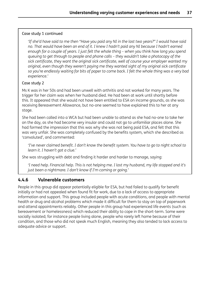#### <span id="page-46-0"></span>Case study 1 continued

'If she'd have said to me then "Have you paid any NI in the last two years?" I would have said no. That would have been an end of it. I knew I hadn't paid any NI because I hadn't earned enough for a couple of years. I just felt the whole thing - when you think how long you spend *queuing to get through to people and phone calls – they wouldn't take a photocopy of the sick certificate, they want the original sick certificate, well of course your employer wanted my original, even though they weren't paying me they wanted sight of my original sick certificate* so you're endlessly waiting for bits of paper to come back. I felt the whole thing was a very bad *experience.'*

#### Case study 2

Ms K was in her 50s and had been unwell with arthritis and not worked for many years. The trigger for her claim was when her husband died. He had been at work until shortly before this. It appeared that she would not have been entitled to ESA on income grounds, as she was receiving Bereavement Allowance, but no-one seemed to have explained this to her at any stage.

She had been called into a WCA but had been unable to attend as she had no-one to take her on the day, as she had become very insular and could not go to unfamiliar places alone. She had formed the impression that this was why she was not being paid ESA, and felt that this was very unfair. She was completely confused by the benefits system, which she described as 'convoluted', and commented:

*'I've never claimed benefit. I don't know the benefit system. You have to go to night school to learn it. I haven't got a clue.'*

She was struggling with debt and finding it harder and harder to manage, saying:

'I need help. Financial help. This is not helping me. I lost my husband, my life stopped and it's *just been a nightmare. I don't know if I'm coming or going.'*

#### **4.4.6 Vulnerable customers**

People in this group did appear potentially eligible for ESA, but had failed to qualify for benefit initially or had not appealed when found fit for work, due to a lack of access to appropriate information and support. This group included people with acute conditions, and people with mental health or drug and alcohol problems which made it difficult for them to stay on top of paperwork and attend appointments reliably. Other people in this group had experienced life events (such as bereavement or homelessness) which reduced their ability to cope in the short-term. Some were socially isolated; for instance people living alone, people who rarely left home because of their condition, and those who did not speak much English, meaning they also tended to lack access to adequate advice or support.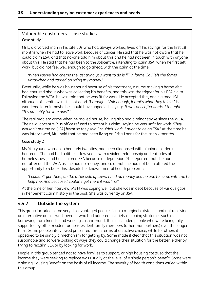## <span id="page-47-0"></span>Vulnerable customers – case studies Case study 1

Mr L, a divorced man in his late 50s who had always worked, lived off his savings for the first 18 months when he had to leave work because of cancer. He said that he was not aware that he could claim ESA, and that no-one told him about this and he had not been in touch with anyone about this. He said that he had been to the Jobcentre, intending to claim JSA, when he first left work, but did not feel well enough to go ahead with the claim at the time:

'When you've had chemo the last thing you want to do is fill in forms. So I left the forms *untouched and carried on using my money.'*

Eventually, while he was housebound because of his treatment, a nurse making a home visit had enquired about who was collecting his benefits, and this was the trigger for his ESA claim. Following the WCA, he was told that he was fit for work. He accepted this, and claimed JSA, although his health was still not good. '*I thought, "Fair enough, if that's what they think".*' He wondered later if maybe he should have appealed, saying: '*It was only afterwards. I thought "It's probably too late now".*'

The real problem came when he moved house, having also had a minor stroke since the WCA. The new Jobcentre Plus office refused to accept his claim, saying he was unfit for work. *'They wouldn't put me on* [JSA] *because they said I couldn't work, I ought to be on ESA.'* At the time he was interviewed, Mr L said that he had been living on Crisis Loans for the last six months.

#### Case study 2

Ms M, a young woman in her early twenties, had been diagnosed with bipolar disorder in her teens. She had had a difficult few years, with a violent relationship and episodes of homelessness, and had claimed ESA because of depression. She reported that she had not attended the WCA as she had no money, and said that she had not been offered the opportunity to rebook this, despite her known mental health problems:

'I couldn't get there, on the other side of town. I had no money and no one to come with me to *help me. And because I couldn't get there it was "no".'*

At the time of her interview, Ms M was coping well but she was in debt because of various gaps in her benefit claim history in the past. She was currently on JSA.

## **4.4.7 Outside the system**

This group included some very disadvantaged people living a marginal existence and not receiving an alternative out-of-work benefit, who had adopted a variety of coping strategies such as borrowing from friends, and working cash-in-hand. It also included people who were being fully supported by other resident or non-resident family members (other than partners) over the longer term. Some people interviewed presented this in terms of an active choice, while for others it appeared to be simply a mechanism for getting by. Some made it clear that this situation was not sustainable and so were looking at ways they could change their situation for the better, either by trying to reclaim ESA or by looking for work.

People in this group tended not to have families to support, or high housing costs, so that the income they were seeking to replace was usually at the level of a single person's benefit. Some were claiming Housing Benefit on the basis of nil income. The severity of health conditions varied within this group.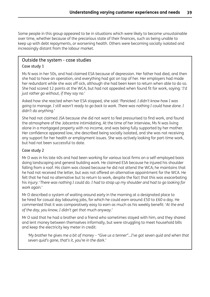Some people in this group appeared to be in situations which were likely to become unsustainable over time, whether because of the precarious state of their finances, such as being unable to keep up with debt repayments, or worsening health. Others were becoming socially isolated and increasingly distant from the labour market.

#### Outside the system - case studies

#### Case study 1

Ms N was in her 50s, and had claimed ESA because of depression. Her father had died, and then she had to have an operation, and everything had got on top of her. Her employers had made her redundant while she was off sick, although she had been keen to return when able to do so. She had scored 12 points at the WCA, but had not appealed when found fit for work, saying: '*I'd just rather go without, if they say no.*'

Asked how she reacted when her ESA stopped, she said: '*Panicked. I didn't know how I was* going to manage. I still wasn't ready to go back to work. There was nothing I could have done. I *didn't do anything.*'

She had not claimed JSA because she did not want to feel pressurised to find work, and found the atmosphere of the Jobcentre intimidating. At the time of her interview, Ms N was living alone in a mortgaged property with no income, and was being fully supported by her mother. Her confidence appeared low, she described being socially isolated, and she was not receiving any support for her health or employment issues. She was actively looking for part-time work, but had not been successful to date.

#### Case study 2

Mr O was in his late 40s and had been working for various local firms on a self-employed basis doing landscaping and general building work. He claimed ESA because he injured his shoulder falling from a roof. His claim was closed because he did not attend the WCA; he maintains that he had not received the letter, but was not offered an alternative appointment for the WCA. He felt that he had no alternative but to return to work, despite the fact that this was exacerbating his injury: 'There was nothing I could do. I had to strap up my shoulder and had to go looking for *work again.*'

Mr O described a system of waiting around early in the morning at a designated place to be hired for casual day labouring jobs, for which he could earn around £50 to £60 a day. He commented that it was comparatively easy to earn as much as his weekly benefit: '*At the end of the day, you know, I didn't get that much anyway.*'

Mr O said that he had a brother and a friend who sometimes stayed with him, and they shared and lent money between themselves informally, but were struggling to meet household bills and keep the electricity key meter in credit:

'My brother he gives me a bit of money - "Give us a tenner"...I've got seven quid and when that *seven quid's gone, that's it, you're in the dark.'*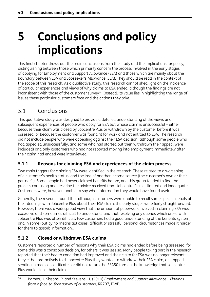# <span id="page-49-0"></span>**5 Conclusions and policy implications**

This final chapter draws out the main conclusions from the study and the implications for policy, distinguishing between those which primarily concern the process involved in the early stages of applying for Employment and Support Allowance (ESA) and those which are mainly about the boundary between ESA and Jobseeker's Allowance (JSA). They should be read in the context of the scope of this research. As a qualitative study, this research cannot shed light on the incidence of particular experiences and views of why claims to ESA ended, although the findings are not inconsistent with those of the customer survey<sup>18</sup>. Instead, its value lies in highlighting the range of issues these particular customers face and the actions they take.

# 5.1 Conclusions

This qualitative study was designed to provide a detailed understanding of the views and subsequent experiences of people who apply for ESA but whose claim is unsuccessful – either because their claim was closed by Jobcentre Plus or withdrawn by the customer before it was assessed, or because the customer was found fit for work and not entitled to ESA. The research did not include people who were appealing against their ESA decision (although some people who had appealed unsuccessfully, and some who had started but then withdrawn their appeal were included) and only customers who had not reported moving into employment immediately after their claim had ended were interviewed.

## **5.1.1 Reasons for claiming ESA and experiences of the claim process**

Two main triggers for claiming ESA were identified in the research. These related to a worsening of a customer's health status, and the loss of another income source (the customer's own or their partner's). Some people had never claimed benefits before, and this group tended to find the process confusing and describe the advice received from Jobcentre Plus as limited and inadequate. Customers were, however, unable to say what information they would have found useful.

Generally, the research found that although customers were unable to recall some specific details of their dealings with Jobcentre Plus about their ESA claim, the early stages were fairly straightforward. However, there was a widespread view that the amount of paperwork involved in claiming ESA was excessive and sometimes difficult to understand, and that resolving any queries which arose with Jobcentre Plus was often difficult. Few customers had a good understanding of the benefits system, and in some (but by no means all) cases, difficult or stressful personal circumstances made it harder for them to absorb information.,

## **5.1.2 Closed or withdrawn ESA claims**

Customers reported a number of reasons why their ESA claims had ended before being assessed: for some this was a conscious decision, for others it was less so. Many people taking part in the research reported that their health condition had improved and their claim for ESA was no longer relevant: they either pro-actively told Jobcentre Plus they wanted to withdraw their ESA claim, or stopped sending in medical certificates or did not return the ESA50 form in the knowledge that Jobcentre Plus would close their claim.

<sup>18</sup> Barnes, H. Sissons, P. and Stevens, H. (2010) *Employment and Support Allowance – Findings from a face-to-face survey of customers*, RR707, DWP.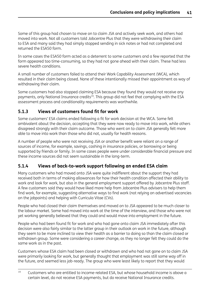<span id="page-50-0"></span>Some of this group had chosen to move on to claim JSA and actively seek work, and others had moved into work. Not all customers told Jobcentre Plus that they were withdrawing their claim to ESA and many said they had simply stopped sending in sick notes or had not completed and returned the ESA50 form.

In some cases the ESA50 form acted as a deterrent to some customers and a few reported that the form appeared too time-consuming, so they had not gone ahead with their claim. These had less severe health conditions.

A small number of customers failed to attend their Work Capability Assessment (WCA), which resulted in their claim being closed. None of these intentionally missed their appointment as way of withdrawing their claim.

Some customers had also stopped claiming ESA because they found they would not receive any payments, only National Insurance credits<sup>19</sup>. This group did not feel that complying with the ESA assessment process and conditionality requirements was worthwhile.

## **5.1.3 Views of customers found fit for work**

Some customers' ESA claims ended following a fit for work decision at the WCA. Some felt ambivalent about the decision, accepting that they were now ready to move into work, while others disagreed strongly with their claim outcome. Those who went on to claim JSA generally felt more able to move into work than those who did not, usually for health reasons.

A number of people who were not receiving JSA or another benefit were reliant on a range of sources of income, for example, savings, cashing in insurance policies, or borrowing or being supported by friends or family. In some cases people were under considerable financial pressure and these income sources did not seem sustainable in the long-term.

## **5.1.4 Views of back-to-work support following an ended ESA claim**

Many customers who had moved onto JSA were quite indifferent about the support they had received both in terms of making allowances for how their health condition affected their ability to work and look for work, but also in the general employment support offered by Jobcentre Plus staff. A few customers said they would have liked more help from Jobcentre Plus advisers to help them find work, for example, suggesting alternative ways to find work (not relying on advertised vacancies on the jobpoints) and helping with Curricula Vitae (CVs).

People who had closed their claim themselves and moved on to JSA appeared to be much closer to the labour market. Some had moved into work at the time of the interview, and those who were not yet working generally believed that they could and would move into employment in the future.

People who had been found fit for work and who had gone onto claim JSA immediately after this decision were also fairly similar to the latter group in their outlook on work in the future, although they seem to be more inclined to view their health as a barrier to doing so than the claim closed or withdrawn group. Some were considering a career change, as they no longer felt they could do the same work as in the past.

Customers whose ESA claim had been closed or withdrawn and who had not gone on to claim JSA were primarily looking for work, but generally thought that employment was still some way off in the future, and seemed less job-ready. The group who were least likely to report that they would

 $19$  Customers who are entitled to income-related ESA, but whose household income is above a certain level, do not receive ESA payments, but do receive National Insurance credits.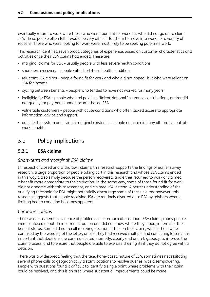<span id="page-51-0"></span>eventually return to work were those who were found fit for work but who did not go on to claim JSA. These people often felt it would be very difficult for them to move into work, for a variety of reasons. Those who were looking for work were most likely to be seeking part-time work.

This research identified seven broad categories of experience, based on customer characteristics and activities once their ESA claims had ended. These are:

- marginal claims for ESA usually people with less severe health conditions
- short-term recovery people with short-term health conditions
- reluctant JSA claims people found fit for work and who did not appeal, but who were reliant on JSA for income
- cycling between benefits people who tended to have not worked for many years
- ineligible for ESA people who had paid insufficient National Insurance contributions, and/or did not qualify for payments under income-based ESA
- vulnerable customers people with acute conditions who often lacked access to appropriate information, advice and support
- outside the system and living a marginal existence people not claiming any alternative out-ofwork benefits

## 5.2 Policy implications

## **5.2.1 ESA claims**

#### *Short-term and 'marginal' ESA claims*

In respect of closed and withdrawn claims, this research supports the findings of earlier survey research; a large proportion of people taking part in this research and whose ESA claims ended in this way did so simply because the person recovered, and either returned to work or claimed a benefit more appropriate to their situation. In the same way, some of those found fit for work did not disagree with this assessment, and claimed JSA instead. A better understanding of the qualifying threshold for ESA might potentially discourage some of these claims; however, this research suggests that people receiving JSA are routinely diverted onto ESA by advisers when a limiting health condition becomes apparent.

#### *Communications*

There was considerable evidence of problems in communications about ESA claims; many people were confused about their current situation and did not know where they stood, in terms of their benefit status. Some did not recall receiving decision letters on their claim, while others were confused by the wording of the letter, or said they had received multiple and conflicting letters. It is important that decisions are communicated promptly, clearly and unambiguously, to improve the claim process, and to ensure that people are able to exercise their rights if they do not agree with a decision.

There was a widespread feeling that the telephone-based nature of ESA, sometimes necessitating several phone calls to geographically distant locations to resolve queries, was disempowering. People with questions found it difficult to identify a single point where problems with their claim could be resolved, and this is an area where substantial improvements could be made.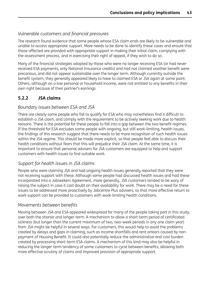## <span id="page-52-0"></span>*Vulnerable customers and financial pressures*

The research found evidence that some people whose ESA claim ends are likely to be vulnerable and unable to access appropriate support. More needs to be done to identify these cases and ensure that those affected are provided with appropriate support in making their initial claim, complying with the assessment process, and in exercising their right of appeal, if they wish to do so.

Many of the financial strategies adopted by those who were no longer receiving ESA (or had never received ESA payments, only National Insurance credits) and had not claimed another benefit were precarious, and did not appear sustainable over the longer term. Although currently outside the benefit system, they generally appeared likely to have to claimed ESA or JSA again at some point. Others, although on a low personal or household income, were not entitled to any benefits in their own right because of their partner's earnings.

## **5.2.2 JSA claims**

### *Boundary issues between ESA and JSA*

There are clearly some people who fail to qualify for ESA who may nonetheless find it difficult to establish a JSA claim, and comply with the requirement to be actively seeking work due to health reasons. There is the potential for these people to fall into a gap between the two benefit regimes. If the threshold for ESA excludes some people with ongoing, but still work-limiting, health issues, the findings of this research suggest that there needs to be more recognition of such health issues within the JSA regime. This should be made more explicit, so that people feel able to discuss their health conditions without fears that this will prejudice their JSA claim. At the same time, it is important to ensure that personal advisers for JSA customers are equipped to help and support customers with health issues to find suitable work.

## *Support for health issues in JSA claims*

People who were claiming JSA and had ongoing health issues generally reported that they were not receiving support with these. Although some people had discussed health issues and had these incorporated into a Jobseekers Agreement, more generally, JSA customers tended to be wary of raising the subject in case it cast doubt on their availability for work. There may be a need for these issues to be addressed more proactively by Jobcentre Plus advisers, so that more effective return to work support can be provided to customers with work-limiting health conditions.

#### *Movements between benefits*

Moving between JSA and ESA appeared widespread for many of the people taking part in this study, over both the shorter and longer-term. A mechanism to allow a short-term period of certificated sickness (but longer than the current maximum of two, two-week periods in any one claim year) from JSA might be helpful in several ways. For customers, this would help to avoid the problems created by delays and gaps in claiming, such as income shortfalls and rent arrears caused by nonpayment of Housing Benefit. It could also potentially reduce the administrative and cost burden created by processing short-term ESA claims. A mechanism of this kind may also be helpful in reducing the longer-term tendency of some customers to cycle between benefits, allowing both more effective scrutiny of claims and improved provision of appropriate support.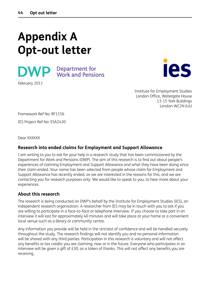# <span id="page-53-0"></span>**Appendix A Opt-out letter**





Institute for Employment Studies London Office, Watergate House 13-15 York Buildings London WC2N 6JU

Framework Ref No: RF1156

IES Project Ref No: ESA2430

Dear XXXXXX

#### **Research into ended claims for Employment and Support Allowance**

I am writing to you to ask for your help in a research study that has been commissioned by the Department for Work and Pensions (DWP). The aim of this research is to find out about people's experiences of claiming Employment and Support Allowance and what they have been doing since their claim ended. Your name has been selected from people whose claim for Employment and Support Allowance has recently ended, as we are interested in the reasons for this, and we are contacting you for research purposes only. We would like to speak to you, to hear more about your experiences.

#### **About this research**

The research is being conducted on DWP's behalf by the Institute for Employment Studies (IES), an independent research organisation. A researcher from IES may be in touch with you to ask if you are willing to participate in a face-to-face or telephone interview. If you choose to take part in an interview it will last for approximately 40 minutes and will take place at your home or a convenient local venue such as a library or community centre.

Any information you provide will be held in the strictest of confidence and will be handled securely throughout the study. The research findings will not identify you and no personal information will be shared with any third parties. Participation in this research is voluntary and will not affect any benefits or tax credits you are claiming, now or in the future. Everyone who participates in an interview will be given a gift of £30, as a token of thanks. This will not affect any benefits you are receiving.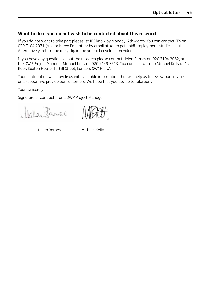#### **What to do if you do not wish to be contacted about this research**

If you do not want to take part please let IES know by Monday, 7th March. You can contact IES on 020 7104 2071 (ask for Karen Patient) or by email at karen.patient@employment-studies.co.uk. Alternatively, return the reply slip in the prepaid envelope provided.

If you have any questions about the research please contact Helen Barnes on 020 7104 2082, or the DWP Project Manager Michael Kelly on 020 7449 7643. You can also write to Michael Kelly at 1st floor, Caxton House, Tothill Street, London, SW1H 9NA.

Your contribution will provide us with valuable information that will help us to review our services and support we provide our customers. We hope that you decide to take part.

Yours sincerely

Signature of contractor and DWP Project Manager

Melentarier

Helen Barnes Michael Kelly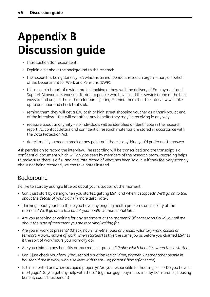# <span id="page-55-0"></span>**Appendix B Discussion guide**

- Introduction (for respondent):
- Explain a bit about the background to the research.
- the research is being done by IES which is an independent research organisation, on behalf of the Department for Work and Pensions (DWP).
- this research is part of a wider project looking at how well the delivery of Employment and Support Allowance is working. Talking to people who have used this service is one of the best ways to find out, so thank them for participating. Remind them that the interview will take up to one hour and check that's ok.
- remind them they will get a £30 cash or high street shopping voucher as a thank you at end of the interview – this will not affect any benefits they may be receiving in any way.
- reassure about anonymity no individuals will be identified or identifiable in the research report. All contact details and confidential research materials are stored in accordance with the Data Protection Act.
- do tell me if you need a break at any point or if there is anything you'd prefer not to answer

Ask permission to record the interview. The recording will be transcribed and the transcript is a confidential document which will only be seen by members of the research team. Recording helps to make sure there is a full and accurate record of what has been said, but if they feel very strongly about not being recorded, we can take notes instead.

# Background

I'd like to start by asking a little bit about your situation at the moment.

- Can I just start by asking when you started getting ESA, and when it stopped? *We'll go on to talk about the details of your claim in more detail later.*
- Thinking about your health, do you have any ongoing health problems or disability at the moment? *We'll go on to talk about your health in more detail later.*
- Are you receiving or waiting for any treatment at the moment? (If necessary) *Could you tell me about the type of treatment you are receiving/waiting for.*
- Are you in work at present? (Check: *hours, whether paid or unpaid, voluntary work, casual or temporary work, nature of work, when started?*) Is this the same job as before you claimed ESA? Is it the sort of work/hours you normally do?
- Are you claiming any benefits or tax credits at present? *Probe: which benefits, when these started*.
- Can I just check your family/household situation (*eg children, partner, whether other people in household are in work, who else lives with them – eg parents' home/flat share*)
- Is this a rented or owner-occupied property? Are you responsible for housing costs? Do you have a mortgage? Do you get any help with these? (eg mortgage payments met by IS/insurance, housing benefit, council tax benefit)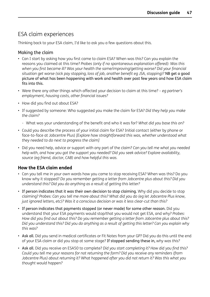# ESA claim experiences

Thinking back to your ESA claim, I'd like to ask you a few questions about this.

### Making the claim

- Can I start by asking how you first came to claim ESA? When was this? Can you explain the reasons you claimed at this time? *Probes (only if no spontaneous explanation offered): Was this when you first became ill? Was your health the same/improving/getting worse? Did your financial situation get worse (sick pay stopping, loss of job, another benefit eg JSA, stopping)?* NB get a good picture of what has been happening with work and health over past few years and how ESA claim fits into this.
- Were there any other things which affected your decision to claim at this time? *eg partner's employment, housing costs, other financial issues?*
- How did you find out about ESA?
- If suggested by someone: Who suggested you make the claim for ESA? *Did they help you make the claim?*
	- What was your understanding of the benefit and who it was for? *What did you base this on?*
- Could you describe the process of your initial claim for ESA? Initial contact (either by phone or face-to-face at Jobcentre Plus) *[Explore how straightforward this was, whether understood what they needed to do next to progress the claim]*
- Did you need help, advice or support with any part of the claim? *Can you tell me what you needed help with, and how you got the support you needed? Did you seek advice? Explore availability, source (eg friend, doctor, CAB) and how helpful this was.*

## **How the ESA claim ended**

- Can you tell me in your own words how you came to stop receiving ESA? When was this? Do you know why it stopped? *Do you remember getting a letter from Jobcentre plus about this? Did you understand this? Did you do anything as a result of getting this letter?*
- If person indicates that it was their own decision to stop claiming. Why did you decide to stop claiming? *Probes: Can you tell me more about this? What did you do (eg let Jobcentre Plus know, just ignored letters, etc)? Was it a conscious decision or was it less clear-cut than this?*
- If person indicates that payments stopped (or never made) for some other reason. Did you understand that your ESA payments would stop/that you would not get ESA, and why? *Probes: How did you find out about this? Do you remember getting a letter from Jobcentre plus about this?* Did you understand this? Did you do anything as a result of getting this letter? Can you explain why *this was?*
- Ask all. Did you send in medical certificates or Fit Notes from your GP? Did you do this until the end of your ESA claim or did you stop at some stage? If stopped sending these in, *why was this?*
- Ask all. Did you receive an ESA50 to complete? *Did you start completing it? How did you find this? Could you tell me your reasons for not returning the form? Did you receive any reminders (from Jobcentre Plus) about returning it? What happened after you did not return it? Was this what you thought would happen?*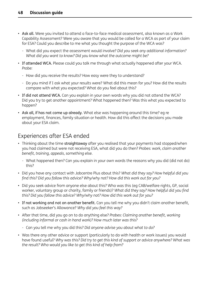- Ask all. Were you invited to attend a face-to-face medical assessment, also known as a Work Capability Assessment? Were you aware that you would be called for a WCA as part of your claim for ESA? Could you describe to me what you thought the purpose of the WCA was?
	- What did you expect the assessment would involve? *Did you seek any additional information? What did you want to know? Did you know what the outcome might be?*
- If attended WCA. Please could you talk me through what actually happened after your WCA. *Probe:*
	- How did you receive the results? How easy were they to understand?
	- Do you mind if I ask what your results were? What did this mean for you? How did the results compare with what you expected? What do you feel about this?
- If did not attend WCA. Can you explain in your own words why you did not attend the WCA? Did you try to get another appointment? What happened then? Was this what you expected to happen?
- Ask all, if has not come up already. What else was happening around this time? eg re employment, finances, family situation or health. How did this affect the decisions you made about your ESA claim.

# Experiences after ESA ended

- Thinking about the time straightaway after you realised that your payments had stopped/when you had claimed but were not receiving ESA, what did you do then? *Probes: work, claim another benefit, training, appeals, something else.*
	- What happened then? Can you explain in your own words the reasons why you did (did not do) this?
- Did you have any contact with Jobcentre Plus about this? *What did they say? How helpful did you find this? Did you follow this advice? Why/why not? How did this work out for you?*
- Did you seek advice from anyone else about this? Who was this (eg CAB/welfare rights, GP, social worker, voluntary group or charity, family or friends)? *What did they say? How helpful did you find this? Did you follow this advice? Why/why not? How did this work out for you?*
- If not working and not on another benefit. Can you tell me why you didn't claim another benefit, such as Jobseeker's Allowance? *Why did you feel this way?*
- After that time, did you go on to do anything else? *Probes: Claiming another benefit, working (including informal or cash in hand work)? How much later was this?*
	- Can you tell me why you did this? *Did anyone advise you about what to do?*
- Was there any other advice or support (particularly to do with health or work issues) you would have found useful? *Why was this? Did try to get this kind of support or advice anywhere? What was the result? Who would you like to get this kind of help from?*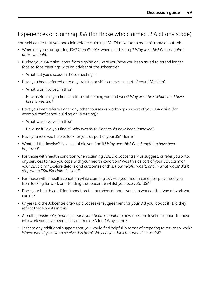# Experiences of claiming JSA (for those who claimed JSA at any stage)

You said earlier that you had claimed/are claiming JSA. I'd now like to ask a bit more about this.

- When did you start getting JSA? *If applicable,* when did this stop? *Why was this? Check against dates we hold.*
- During your JSA claim, apart from signing on, were you/have you been asked to attend longer face-to-face meetings with an adviser at the Jobcentre?
	- What did you discuss in these meetings?
- Have you been referred onto any training or skills courses as part of your JSA claim?
	- What was involved in this?
	- How useful did you find it in terms of helping you find work? *Why was this? What could have been improved?*
- Have you been referred onto any other courses or workshops as part of your JSA claim (for example confidence-building or CV writing)?
	- What was involved in this?
	- How useful did you find it? *Why was this? What could have been improved?*
- Have you received help to look for jobs as part of your JSA claim?
- What did this involve? How useful did you find it? *Why was this? Could anything have been improved?*
- For those with health condition when claiming JSA. Did Jobcentre Plus suggest, or refer you onto, any services to help you cope with your health condition? Was this as part of your ESA claim or your JSA claim? Explore details and outcomes of this. *How helpful was it, and in what ways? Did it stop when ESA/JSA claim finished?*
- For those with a health condition while claiming JSA Has your health condition prevented you from looking for work or attending the Jobcentre whilst you receive(d) JSA?
- Does your health condition impact on the numbers of hours you can work or the type of work you can do?
- (If yes) Did the Jobcentre draw up a Jobseeker's Agreement for you? Did you look at it? Did they reflect these points in this?
- Ask all (*if applicable, bearing in mind your health condition*) how does the level of support to move into work you have been receiving from JSA feel? Why is this?
- Is there any additional support that you would find helpful in terms of preparing to return to work? *Where would you like to receive this from? Why do you think this would be useful?*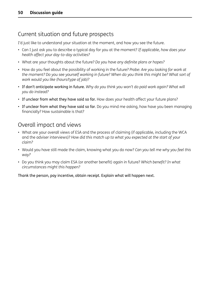# Current situation and future prospects

I'd just like to understand your situation at the moment, and how you see the future.

- Can I just ask you to describe a typical day for you at the moment? *If applicable, how does your health affect your day-to-day activities?*
- What are your thoughts about the future? *Do you have any definite plans or hopes?*
- How do you feel about the possibility of working in the future? *Probe: Are you looking for work at* the moment? Do you see yourself working in future? When do you think this might be? What sort of *work would you like (hours/type of job)?*
- If don't anticipate working in future. *Why do you think you won't do paid work again? What will you do instead?*
- If unclear from what they have said so far. How does your health affect your future plans?
- If unclear from what they have said so far. Do you mind me asking, how have you been managing financially? How sustainable is that?

# Overall impact and views

- What are your overall views of ESA and the process of claiming (if applicable, including the WCA and the adviser interviews)? *How did this match up to what you expected at the start of your claim?*
- Would you have still made the claim, knowing what you do now? *Can you tell me why you feel this way?*
- Do you think you may claim ESA (or another benefit) again in future? *Which benefit? In what circumstances might this happen?*

Thank the person, pay incentive, obtain receipt. Explain what will happen next.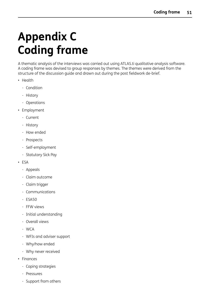# <span id="page-60-0"></span>**Appendix C Coding frame**

A thematic analysis of the interviews was carried out using ATLAS.ti qualitative analysis software. A coding frame was devised to group responses by themes. The themes were derived from the structure of the discussion guide and drawn out during the post fieldwork de-brief.

- Health
	- Condition
	- History
	- Operations
- Employment
	- Current
	- History
	- How ended
	- Prospects
	- Self-employment
	- Statutory Sick Pay
- ESA
	- Appeals
	- Claim outcome
	- Claim trigger
	- Communications
	- ESA50
	- FFW views
	- Initial understanding
	- Overall views
	- WCA
	- WFIs and adviser support
	- Why/how ended
	- Why never received
- Finances
	- Coping strategies
	- Pressures
	- Support from others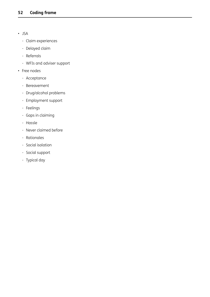- JSA
	- Claim experiences
	- Delayed claim
	- Referrals
	- WFIs and adviser support
- Free nodes
	- Acceptance
	- Bereavement
	- Drug/alcohol problems
	- Employment support
	- Feelings
	- Gaps in claiming
	- Hassle
	- Never claimed before
	- Rationales
	- Social isolation
	- Social support
	- Typical day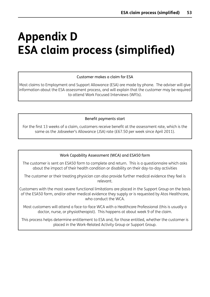# <span id="page-62-0"></span>**Appendix D ESA claim process (simplified)**

#### Customer makes a claim for ESA

Most claims to Employment and Support Allowance (ESA) are made by phone. The adviser will give information about the ESA assessment process, and will explain that the customer may be required to attend Work Focused Interviews (WFIs).

Benefit payments start

For the first 13 weeks of a claim, customers receive benefit at the assessment rate, which is the same as the Jobseeker's Allowance (JSA) rate (£67.50 per week since April 2011).

#### Work Capability Assessment (WCA) and ESA50 form

The customer is sent an ESA50 form to complete and return. This is a questionnaire which asks about the impact of their health condition or disability on their day-to-day activities

The customer or their treating physician can also provide further medical evidence they feel is relevant.

Customers with the most severe functional limitations are placed in the Support Group on the basis of the ESA50 form, and/or other medical evidence they supply or is requested by Atos Healthcare, who conduct the WCA.

Most customers will attend a face-to-face WCA with a Healthcare Professional (this is usually a doctor, nurse, or physiotherapist). This happens at about week 9 of the claim.

This process helps determine entitlement to ESA and, for those entitled, whether the customer is placed in the Work-Related Activity Group or Support Group.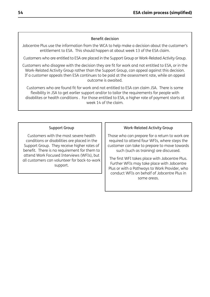#### Benefit decision

Jobcentre Plus use the information from the WCA to help make a decision about the customer's entitlement to ESA. This should happen at about week 13 of the ESA claim.

Customers who are entitled to ESA are placed in the Support Group or Work-Related Activity Group.

Customers who disagree with the decision they are fit for work and not entitled to ESA, or in the Work-Related Activity Group rather than the Support Group, can appeal against this decision. If a customer appeals then ESA continues to be paid at the assessment rate, while an appeal outcome is awaited.

Customers who are found fit for work and not entitled to ESA can claim JSA. There is some flexibility in JSA to get earlier support and/or to tailor the requirements for people with disabilites or health conditions . For those entitled to ESA, a higher rate of payment starts at week 14 of the claim.

#### Support Group

Customers with the most severe health conditions or disabilities are placed in the Support Group. They receive higher rates of benefit. There is no requirement for them to attend Work Focused Interviews (WFIs), but all customers can volunteer for back-to-work support.

#### Work-Related Activity Group

Those who can prepare for a return to work are required to attend four WFIs, where steps the customer can take to prepare to move towards such (such as training) are discussed.

The first WFI takes place with Jobcentre Plus. Further WFIs may take place with Jobcentre Plus or with a Pathways to Work Provider, who conduct WFIs on behalf of Jobcentre Plus in some areas.